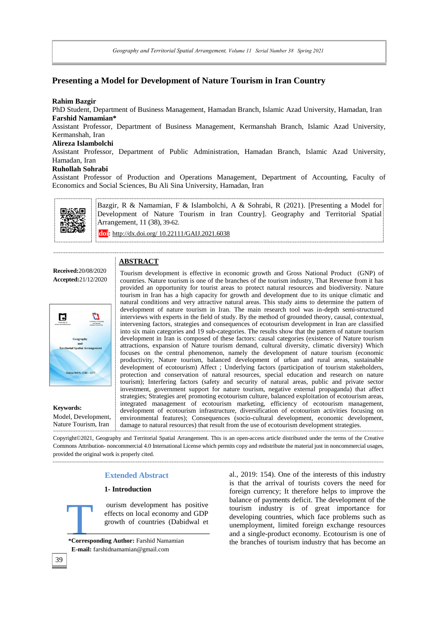*Geography and Territorial Spatial Arrangement, Volume 11 Serial Number 38 Spring2021*

## **Presenting a Model for Development of Nature Tourism in Iran Country**

## **Rahim Bazgir**

PhD Student, Department of Business Management, Hamadan Branch, Islamic Azad University, Hamadan, Iran **Farshid Namamian\*** 

Assistant Professor, Department of Business Management, Kermanshah Branch, Islamic Azad University, Kermanshah, Iran

## **Alireza Islambolchi**

Assistant Professor, Department of Public Administration, Hamadan Branch, Islamic Azad University, Hamadan, Iran

## **Ruhollah Sohrabi**

Assistant Professor of Production and Operations Management, Department of Accounting, Faculty of Economics and Social Sciences, Bu Ali Sina University, Hamadan, Iran



Bazgir, R & Namamian, F & Islambolchi, A & Sohrabi, R (2021). [Presenting a Model for Development of Nature Tourism in Iran Country]. Geography and Territorial Spatial Arrangement*,* 11 (38), 39-62.

**doi:** http://dx.doi.org/ 10.22111/GAIJ.2021.6038

## **ABSTRACT**

**Received:**20/08/2020 **Accepted:**21/12/2020



**Keywords:** Model, Development, Nature Tourism, Iran

Tourism development is effective in economic growth and Gross National Product (GNP) of countries. Nature tourism is one of the branches of the tourism industry, That Revenue from it has provided an opportunity for tourist areas to protect natural resources and biodiversity. Nature tourism in Iran has a high capacity for growth and development due to its unique climatic and natural conditions and very attractive natural areas. This study aims to determine the pattern of development of nature tourism in Iran. The main research tool was in-depth semi-structured interviews with experts in the field of study. By the method of grounded theory, causal, contextual, intervening factors, strategies and consequences of ecotourism development in Iran are classified into six main categories and 19 sub-categories. The results show that the pattern of nature tourism development in Iran is composed of these factors: causal categories (existence of Nature tourism attractions, expansion of Nature tourism demand, cultural diversity, climatic diversity) Which focuses on the central phenomenon, namely the development of nature tourism (economic productivity, Nature tourism, balanced development of urban and rural areas, sustainable development of ecotourism) Affect ; Underlying factors (participation of tourism stakeholders, protection and conservation of natural resources, special education and research on nature tourism); Interfering factors (safety and security of natural areas, public and private sector investment, government support for nature tourism, negative external propaganda) that affect strategies; Strategies are( promoting ecotourism culture, balanced exploitation of ecotourism areas, integrated management of ecotourism marketing, efficiency of ecotourism management, development of ecotourism infrastructure, diversification of ecotourism activities focusing on environmental features); Consequences (socio-cultural development, economic development, damage to natural resources) that result from the use of ecotourism development strategies.

Copyright©2021, Geography and Territorial Spatial Arrangement. This is an open-access article distributed under the terms of the Creative Commons Attribution- noncommercial 4.0 International License which permits copy and redistribute the material just in noncommercial usages, provided the original work is properly cited.

## **Extended Abstract**

## **1- Introduction**

ourism development has positive effects on local economy and GDP growth of countries (Dabidwal et

\*Corresponding Author: Farshid Namamian  **E-mail:** [farshidnamamian@gmail.com](mailto:farshidnamamian@gmail.com)

al., 2019: 154). One of the interests of this industry is that the arrival of tourists covers the need for foreign currency; It therefore helps to improve the balance of payments deficit. The development of the tourism industry is of great importance for developing countries, which face problems such as unemployment, limited foreign exchange resources and a single-product economy. Ecotourism is one of the branches of tourism industry that has become an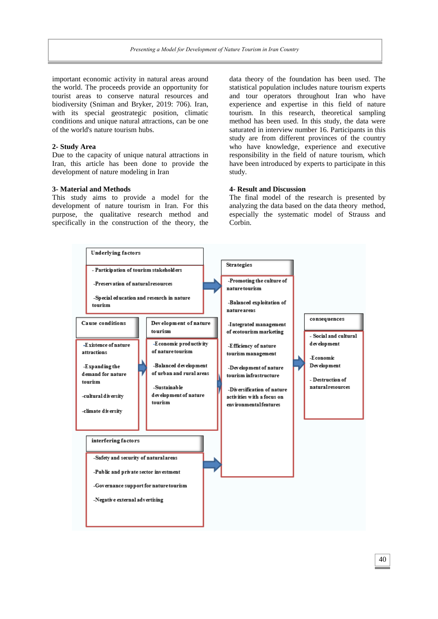important economic activity in natural areas around the world. The proceeds provide an opportunity for tourist areas to conserve natural resources and biodiversity (Sniman and Bryker, 2019: 706). Iran, with its special geostrategic position, climatic conditions and unique natural attractions, can be one of the world's nature tourism hubs.

#### **2- Study Area**

Due to the capacity of unique natural attractions in Iran, this article has been done to provide the development of nature modeling in Iran

#### **3- Material and Methods**

This study aims to provide a model for the development of nature tourism in Iran. For this purpose, the qualitative research method and specifically in the construction of the theory, the data theory of the foundation has been used. The statistical population includes nature tourism experts and tour operators throughout Iran who have experience and expertise in this field of nature tourism. In this research, theoretical sampling method has been used. In this study, the data were saturated in interview number 16. Participants in this study are from different provinces of the country who have knowledge, experience and executive responsibility in the field of nature tourism, which have been introduced by experts to participate in this study.

## **4- Result and Discussion**

The final model of the research is presented by analyzing the data based on the data theory method, especially the systematic model of Strauss and Corbin.

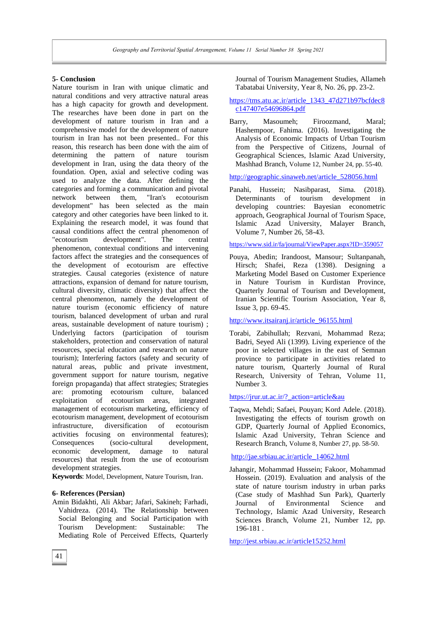### **5- Conclusion**

Nature tourism in Iran with unique climatic and natural conditions and very attractive natural areas has a high capacity for growth and development. The researches have been done in part on the development of nature tourism in Iran and a comprehensive model for the development of nature tourism in Iran has not been presented.. For this reason, this research has been done with the aim of determining the pattern of nature tourism development in Iran, using the data theory of the foundation. Open, axial and selective coding was used to analyze the data. After defining the categories and forming a communication and pivotal network between them, "Iran's ecotourism development" has been selected as the main category and other categories have been linked to it. Explaining the research model, it was found that causal conditions affect the central phenomenon of "ecotourism development". The central phenomenon, contextual conditions and intervening factors affect the strategies and the consequences of the development of ecotourism are effective strategies. Causal categories (existence of nature attractions, expansion of demand for nature tourism, cultural diversity, climatic diversity) that affect the central phenomenon, namely the development of nature tourism (economic efficiency of nature tourism, balanced development of urban and rural areas, sustainable development of nature tourism) ; Underlying factors (participation of tourism stakeholders, protection and conservation of natural resources, special education and research on nature tourism); Interfering factors (safety and security of natural areas, public and private investment, government support for nature tourism, negative foreign propaganda) that affect strategies; Strategies are: promoting ecotourism culture, balanced exploitation of ecotourism areas, integrated management of ecotourism marketing, efficiency of ecotourism management, development of ecotourism infrastructure, diversification of ecotourism activities focusing on environmental features); Consequences (socio-cultural development, economic development, damage to natural resources) that result from the use of ecotourism development strategies.

**Keywords**: Model, Development, Nature Tourism, Iran.

## **6- References (Persian)**

Amin Bidakhti, Ali Akbar; Jafari, Sakineh; Farhadi, Vahidreza. (2014). The Relationship between Social Belonging and Social Participation with Tourism Development: Sustainable: The Mediating Role of Perceived Effects, Quarterly Journal of Tourism Management Studies, Allameh Tabatabai University, Year 8, No. 26, pp. 23-2.

## [https://tms.atu.ac.ir/article\\_1343\\_47d271b97bcfdec8](https://tms.atu.ac.ir/article_1343_47d271b97bcfdec8c147407e54696864.pdf) [c147407e54696864.pdf](https://tms.atu.ac.ir/article_1343_47d271b97bcfdec8c147407e54696864.pdf)

Barry, Masoumeh; Firoozmand, Maral; Hashempoor, Fahima. (2016). Investigating the Analysis of Economic Impacts of Urban Tourism from the Perspective of Citizens, Journal of Geographical Sciences, Islamic Azad University, Mashhad Branch, Volume 12, Number 24, pp. 55-40.

[http://geographic.sinaweb.net/article\\_528056.html](http://geographic.sinaweb.net/article_528056.html)

Panahi, Hussein; Nasibparast, Sima. (2018). Determinants of tourism development in developing countries: Bayesian econometric approach, Geographical Journal of Tourism Space, Islamic Azad University, Malayer Branch, Volume 7, Number 26, 58-43.

<https://www.sid.ir/fa/journal/ViewPaper.aspx?ID=359057>

Pouya, Abedin; Irandoost, Mansour; Sultanpanah, Hirsch; Shafei, Reza (1398). Designing a Marketing Model Based on Customer Experience in Nature Tourism in Kurdistan Province, Quarterly Journal of Tourism and Development, Iranian Scientific Tourism Association, Year 8, Issue 3, pp. 69-45.

## [http://www.itsairanj.ir/article\\_96155.html](http://www.itsairanj.ir/article_96155.html)

Torabi, Zabihullah; Rezvani, Mohammad Reza; Badri, Seyed Ali (1399). Living experience of the poor in selected villages in the east of Semnan province to participate in activities related to nature tourism, Quarterly Journal of Rural Research, University of Tehran, Volume 11, Number 3.

#### [https://jrur.ut.ac.ir/?\\_action=article&au](https://jrur.ut.ac.ir/?_action=article&au)

Taqwa, Mehdi; Safaei, Pouyan; Kord Adele. (2018). Investigating the effects of tourism growth on GDP, Quarterly Journal of Applied Economics, Islamic Azad University, Tehran Science and Research Branch, Volume 8, Number 27, pp. 58-50.

[http://jae.srbiau.ac.ir/article\\_14062.html](http://jae.srbiau.ac.ir/article_14062.html)

Jahangir, Mohammad Hussein; Fakoor, Mohammad Hossein. (2019). Evaluation and analysis of the state of nature tourism industry in urban parks (Case study of Mashhad Sun Park), Quarterly Journal of Environmental Science and Technology, Islamic Azad University, Research Sciences Branch, Volume 21, Number 12, pp. 196-181 .

<http://jest.srbiau.ac.ir/article15252.html>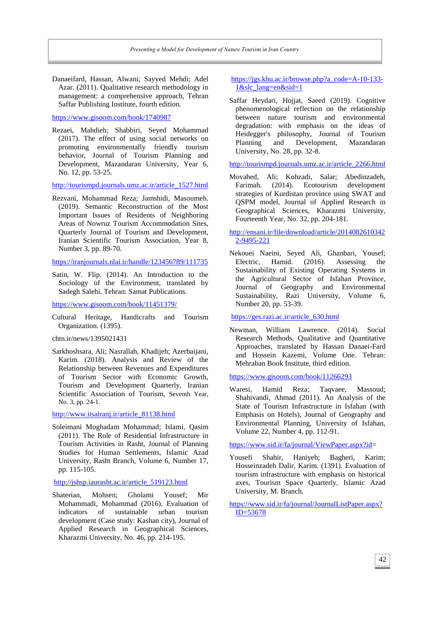Danaeifard, Hassan, Alwani; Sayyed Mehdi; Adel Azar. (2011). Qualitative research methodology in management: a comprehensive approach, Tehran Saffar Publishing Institute, fourth edition.

<https://www.gisoom.com/book/1740987>

Rezaei, Mahdieh; Shabbiri, Seyed Mohammad (2017). The effect of using social networks on promoting environmentally friendly tourism behavior, Journal of Tourism Planning and Development, Mazandaran University, Year 6, No. 12, pp. 53-25.

[http://tourismpd.journals.umz.ac.ir/article\\_1527.html](http://tourismpd.journals.umz.ac.ir/article_1527.html)

Rezvani, Mohammad Reza; Jamshidi, Masoumeh. (2019). Semantic Reconstruction of the Most Important Issues of Residents of Neighboring Areas of Nowruz Tourism Accommodation Sites, Quarterly Journal of Tourism and Development, Iranian Scientific Tourism Association, Year 8, Number 3, pp. 89-70.

<https://iranjournals.nlai.ir/handle/123456789/111735>

Satin, W. Flip. (2014). An Introduction to the Sociology of the Environment, translated by Sadegh Salehi. Tehran: Samat Publications.

<https://www.gisoom.com/book/11451379/>

Cultural Heritage, Handicrafts and Tourism Organization. (1395).

chtn.ir/news/1395021431

Sarkhoshsara, Ali; Nasrallah, Khadijeh; Azerbaijani, Karim. (2018). Analysis and Review of the Relationship between Revenues and Expenditures of Tourism Sector with Economic Growth, Tourism and Development Quarterly, Iranian Scientific Association of Tourism, Seventh Year, No. 3, pp. 24-1.

[http://www.itsairanj.ir/article\\_81138.html](http://www.itsairanj.ir/article_81138.html)

Soleimani Moghadam Mohammad; Islami, Qasim (2011). The Role of Residential Infrastructure in Tourism Activities in Rasht, Journal of Planning Studies for Human Settlements, Islamic Azad University, Rasht Branch, Volume 6, Number 17, pp. 115-105.

[http://jshsp.iaurasht.ac.ir/article\\_519123.html](http://jshsp.iaurasht.ac.ir/article_519123.html)

Shaterian, Mohsen; Gholami Yousef; Mir Mohammadi, Mohammad (2016). Evaluation of indicators of sustainable urban tourism development (Case study: Kashan city), Journal of Applied Research in Geographical Sciences, Kharazmi University, No. 46, pp. 214-195.

## [https://jgs.khu.ac.ir/browse.php?a\\_code=A-10-133-](https://jgs.khu.ac.ir/browse.php?a_code=A-10-133-1&slc_lang=en&sid=1) [1&slc\\_lang=en&sid=1](https://jgs.khu.ac.ir/browse.php?a_code=A-10-133-1&slc_lang=en&sid=1)

Saffar Heydari, Hojjat, Saeed (2019). Cognitive phenomenological reflection on the relationship between nature tourism and environmental degradation: with emphasis on the ideas of Heidegger's philosophy, Journal of Tourism Planning and Development, Mazandaran University, No. 28, pp. 32-8.

[http://tourismpd.journals.umz.ac.ir/article\\_2266.html](http://tourismpd.journals.umz.ac.ir/article_2266.html)

Movahed, Ali; Kohzadi, Salar; Abedinzadeh, Farimah. (2014). Ecotourism development strategies of Kurdistan province using SWAT and QSPM model, Journal of Applied Research in Geographical Sciences, Kharazmi University, Fourteenth Year, No. 32, pp. 204-181.

[http://ensani.ir/file/download/article/2014082610342](http://ensani.ir/file/download/article/20140826103422-9495-221) [2-9495-221](http://ensani.ir/file/download/article/20140826103422-9495-221)

Nekouei Naeini, Seyed Ali, Ghanbari, Yousef; Electric, Hamid. (2016). Assessing the Sustainability of Existing Operating Systems in the Agricultural Sector of Isfahan Province, Journal of Geography and Environmental Sustainability, Razi University, Volume 6, Number 20, pp. 53-39.

[https://ges.razi.ac.ir/article\\_630.html](https://ges.razi.ac.ir/article_630.html)

Newman, William Lawrence. (2014). Social Research Methods, Qualitative and Quantitative Approaches, translated by Hassan Danaei-Fard and Hossein Kazemi, Volume One. Tehran: Mehraban Book Institute, third edition.

<https://www.gisoom.com/book/11266293>

Waresi, Hamid Reza; Taqvaee, Massoud; Shahivandi, Ahmad (2011). An Analysis of the State of Tourism Infrastructure in Isfahan (with Emphasis on Hotels), Journal of Geography and Environmental Planning, University of Isfahan, Volume 22, Number 4, pp. 112-91.

[https://www.sid.ir/fa/journal/ViewPaper.aspx?id=](https://www.sid.ir/fa/journal/ViewPaper.aspx?id)

Yousefi Shahir, Haniyeh; Bagheri, Karim; Hosseinzadeh Dalir, Karim. (1391). Evaluation of tourism infrastructure with emphasis on historical axes, Tourism Space Quarterly, Islamic Azad University, M. Branch.

[https://www.sid.ir/fa/journal/JournalListPaper.aspx?](https://www.sid.ir/fa/journal/JournalListPaper.aspx?ID=53678) [ID=53678](https://www.sid.ir/fa/journal/JournalListPaper.aspx?ID=53678)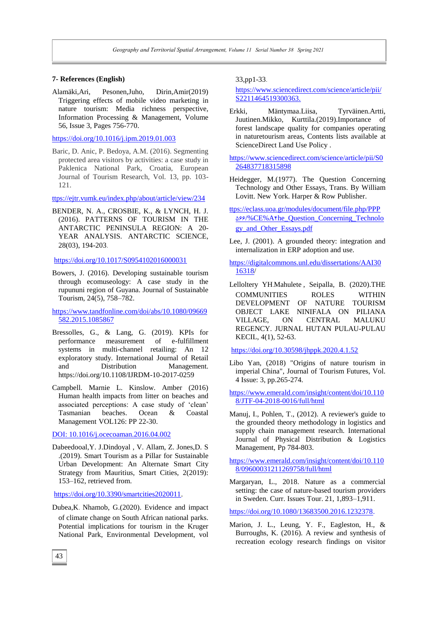#### **7- References (English)**

Alamäki,Ari, Pesonen,Juho, Dirin,Amir(2019) Triggering effects of mobile video marketing in nature tourism: Media richness perspective, Information Processing & Management, Volume 56, Issue 3, Pages 756-770.

https://doi.org/10.1016/j.ipm.2019.01.003

Baric, D. Anic, P. Bedoya, A.M. (2016). Segmenting protected area visitors by activities: a case study in Paklenica National Park, Croatia, European Journal of Tourism Research, Vol. 13, pp. 103- 121.

ttps://ejtr.vumk.eu/index.php/about/article/view/234

BENDER, N. A., CROSBIE, K., & LYNCH, H. J. (2016). PATTERNS OF TOURISM IN THE ANTARCTIC PENINSULA REGION: A 20- YEAR ANALYSIS. ANTARCTIC SCIENCE, 28(03), 194-203.

<https://doi.org/10.1017/S0954102016000031>

Bowers, J. (2016). Developing sustainable tourism through ecomuseology: A case study in the rupununi region of Guyana. Journal of Sustainable Tourism, 24(5), 758–782.

https://www.tandfonline.com/doi/abs/10.1080/09669 582.2015.1085867

- Bressolles, G., & Lang, G. (2019). KPIs for performance measurement of e-fulfillment systems in multi-channel retailing: An 12 exploratory study. International Journal of Retail and Distribution Management. <https://doi.org/10.1108/IJRDM-10-2017-0259>
- Campbell. Marnie L. Kinslow. Amber (2016) Human health impacts from litter on beaches and associated perceptions: A case study of 'clean' Tasmanian beaches. Ocean & Coastal Management VOL126: PP 22-30.

DOI: 10.1016/j.ocecoaman.2016.04.002

Dabeedooal,Y. J.Dindoyal , V. Allam, Z. Jones,D. S .(2019). Smart Tourism as a Pillar for Sustainable Urban Development: An Alternate Smart City Strategy from Mauritius, Smart Cities, 2(2019): 153–162, retrieved from.

[https://doi.org/10.3390/smartcities2020011.](https://doi.org/10.3390/smartcities2020011)

Dubea,K. Nhamob, G.(2020). Evidence and impact of climate change on South African national parks. Potential implications for tourism in the Kruger National Park, Environmental Development, vol 33,pp1-33.

### [https://www.sciencedirect.com/science/article/pii/](https://www.sciencedirect.com/science/article/pii/S2211464519300363.%202211464519300363) [S2211464519300363.](https://www.sciencedirect.com/science/article/pii/S2211464519300363.%202211464519300363)

Erkki, Mäntymaa.Liisa, Tyrväinen.Artti, Juutinen.Mikko, Kurttila.(2019).Importance of forest landscape quality for companies operating in naturetourism areas, Contents lists available at ScienceDirect Land Use Policy .

https://www.sciencedirect.com/science/article/pii/S0 264837718315898

- Heidegger, M.(1977). The Question Concerning Technology and Other Essays, Trans. By William Lovitt. New York. Harper & Row Publisher.
- ttps://eclass.uoa.gr/modules/document/file.php/PPP 655/%CE%A4he\_Question\_Concerning\_Technolo gy\_and\_Other\_Essays.pdf
- Lee, J. (2001). A grounded theory: integration and internalization in ERP adoption and use.

https://digitalcommons.unl.edu/dissertations/AAI30 16318/

Lelloltery YH.Mahulete , Seipalla, B. (2020).THE COMMUNITIES ROLES WITHIN DEVELOPMENT OF NATURE TOURISM OBJECT LAKE NINIFALA ON PILIANA VILLAGE, ON CENTRAL MALUKU REGENCY. JURNAL HUTAN PULAU-PULAU KECIL, 4(1), 52-63.

<https://doi.org/10.30598/jhppk.2020.4.1.52>

Libo Yan, (2018) "Origins of nature tourism in imperial China", Journal of Tourism Futures, Vol. 4 Issue: 3, pp.265-274.

https://www.emerald.com/insight/content/doi/10.110 8/JTF-04-2018-0016/full/html

Manuj, I., Pohlen, T., (2012). A reviewer's guide to the grounded theory methodology in logistics and supply chain management research. International Journal of Physical Distribution & Logistics Management, Pp 784-803.

[https://www.emerald.com/insight/content/doi/10.110](https://www.emerald.com/insight/content/doi/10.1108/09600031211269758/full/html) [8/09600031211269758/full/html](https://www.emerald.com/insight/content/doi/10.1108/09600031211269758/full/html)

Margaryan, L., 2018. Nature as a commercial setting: the case of nature-based tourism providers in Sweden. Curr. Issues Tour. 21, 1,893–1,911.

[https://doi.org/10.1080/13683500.2016.1232378.](https://doi.org/10.1080/13683500.2016.1232378)

Marion, J. L., Leung, Y. F., Eagleston, H., & Burroughs, K. (2016). A review and synthesis of recreation ecology research findings on visitor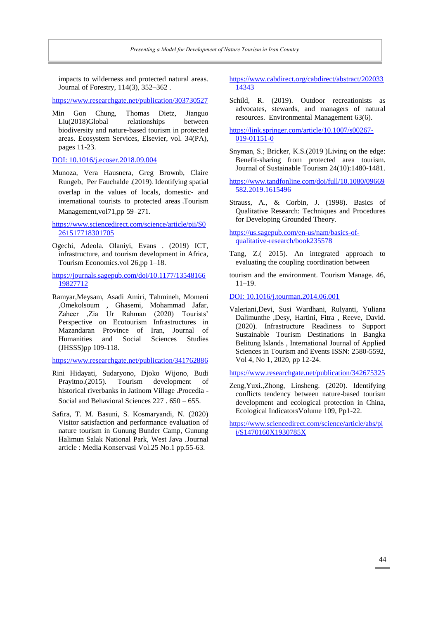impacts to wilderness and protected natural areas. Journal of Forestry, 114(3), 352–362 .

<https://www.researchgate.net/publication/303730527>

Min Gon Chung, Thomas Dietz, Jianguo Liu(2018)Global relationships between biodiversity and nature-based tourism in protected areas. Ecosystem Services, Elsevier, vol. 34(PA), pages 11-23.

#### DOI: 10.1016/j.ecoser.2018.09.004

Munoza, Vera Hausnera, Greg Brownb, Claire Rungeb, Per Fauchalde .(2019). Identifying spatial overlap in the values of locals, domestic- and international tourists to protected areas ،Tourism Management,vol71,pp 59–271.

[https://www.sciencedirect.com/science/article/pii/S0](https://www.sciencedirect.com/science/article/pii/S0261517718301705) [261517718301705](https://www.sciencedirect.com/science/article/pii/S0261517718301705)

Ogechi, Adeola. Olaniyi, Evans . (2019) ICT, infrastructure, and tourism development in Africa, Tourism Economics.vol 26,pp 1–18.

[https://journals.sagepub.com/doi/10.1177/13548166](https://journals.sagepub.com/doi/10.1177/1354816619827712) [19827712](https://journals.sagepub.com/doi/10.1177/1354816619827712)

Ramyar,Meysam, Asadi Amiri, Tahmineh, Momeni ,Omekolsoum , Ghasemi, Mohammad Jafar, Zaheer ,Zia Ur Rahman (2020) Tourists' Perspective on Ecotourism Infrastructures in Mazandaran Province of Iran, Journal of Humanities and Social Sciences Studies (JHSSS)pp 109-118.

<https://www.researchgate.net/publication/341762886>

- Rini Hidayati, Sudaryono, Djoko Wijono, Budi Prayitno.(2015). Tourism development of historical riverbanks in Jatinom Village ،Procedia - Social and Behavioral Sciences 227 . 650 – 655.
- Safira, T. M. Basuni, S. Kosmaryandi, N. (2020) Visitor satisfaction and performance evaluation of nature tourism in Gunung Bunder Camp, Gunung Halimun Salak National Park, West Java .Journal article : Media Konservasi Vol.25 No.1 pp.55-63.

### [https://www.cabdirect.org/cabdirect/abstract/202033](https://www.cabdirect.org/cabdirect/abstract/20203314343) [14343](https://www.cabdirect.org/cabdirect/abstract/20203314343)

- Schild, R. (2019). Outdoor recreationists as advocates, stewards, and managers of natural resources. Environmental Management 63(6).
- https://link.springer.com/article/10.1007/s00267- 019-01151-0
- Snyman, S.; Bricker, K.S.(2019 )Living on the edge: Benefit-sharing from protected area tourism. Journal of Sustainable Tourism 24(10):1480-1481.
- [https://www.tandfonline.com/doi/full/10.1080/09669](https://www.tandfonline.com/doi/full/10.1080/09669582.2019.1615496) [582.2019.1615496](https://www.tandfonline.com/doi/full/10.1080/09669582.2019.1615496)
- Strauss, A., & Corbin, J. (1998). Basics of Qualitative Research: Techniques and Procedures for Developing Grounded Theory.

https://us.sagepub.com/en-us/nam/basics-ofqualitative-research/book235578

- Tang, Z.( 2015). An integrated approach to evaluating the coupling coordination between
- tourism and the environment. Tourism Manage. 46, 11–19.

DOI: 10.1016/j.tourman.2014.06.001

Valeriani,Devi, Susi Wardhani, Rulyanti, Yuliana Dalimunthe ,Desy, Hartini, Fitra , Reeve, David. (2020). Infrastructure Readiness to Support Sustainable Tourism Destinations in Bangka Belitung Islands , International Journal of Applied Sciences in Tourism and Events ISSN: 2580-5592, Vol 4, No 1, 2020, pp 12-24.

<https://www.researchgate.net/publication/342675325>

[Zeng,Yuxi.,Zhong, Linsheng.](https://www.sciencedirect.com/science/article/abs/pii/S1470160X1930785X#!) (2020). Identifying conflicts tendency between nature-based tourism development and ecological protection in China, [Ecological IndicatorsVolume 109,](https://www.sciencedirect.com/science/journal/1470160X) Pp1-22.

[https://www.sciencedirect.com/science/article/abs/pi](https://www.sciencedirect.com/science/article/abs/pii/S1470160X1930785X) [i/S1470160X1930785X](https://www.sciencedirect.com/science/article/abs/pii/S1470160X1930785X)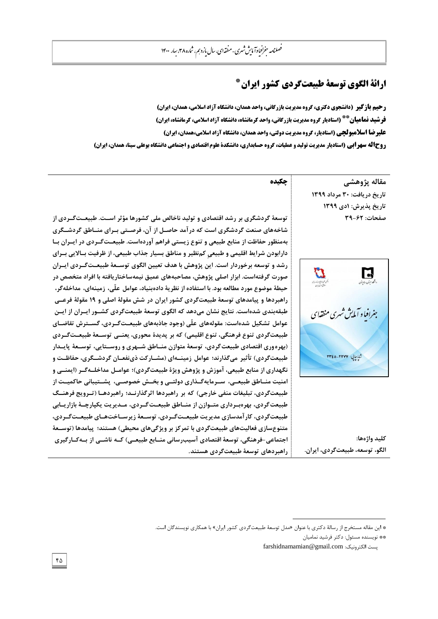# **\* ارائۀ الگوی توسعۀ طبیعتگردی کشور ایران**

**رحیم بازگیر (دانشجوی دکتری، گروه مدیریت بازرگانی، واحد همدان، دانشگاه آزاد اسلامی، همدان، ایران) )استادیار گروه مدیریت بازرگانی، واحد کرمانشاه، دانشگاه آزاد اسالمی، کرمانشاه، ایران( \*\* فرشید نمامیان علیرضا اسالمبولچی )استادیار، گروه مدیریت دولتی، واحد همدان، دانشگاه آزاد اسالمی،همدان، ایران( روحاله سهرابی (استادیار مدیریت تولید و عملیات، گروه حسابداری، دانشکدۀ علوم اقتصادی و اجتماعی دانشگاه بوعلی سینا، همدان، ایران)** 

> مقاله پژوهش*ي* **تاسٔخ دسٔافت: 03 مشداد 9011 تاسٔخ پزٔشش: 9دْ 9011 صفحات: 01-26**

 $\boldsymbol{\mathcal{D}}$  $\mathbf{E}$ جغرافيا و آمايش شهري منظفاي شا حایی: ۲۳۲۷–۲۳٤٥

**کلٕذ ياطٌَا:**  الگو، توسعه، طبیعتگردی، ایران.

**چکیده**

توسعهٔ گردشگری بر رشد اقتصادی و تولید ناخالص ملی کشورها مؤثر اســت. طبیعــتگــردی از شاخههای صنعت گردشگری است که در آمد حاصـل از آن، فرصـتی بـرای منــاطق گردشــگری بهمنظور حفاظت از منابع طبيعي و تنوع زيستي فراهم آوردهاست. طبيعـتگـردي در ايـران بـا دارابودن شرايط اقليمي و طبيعي كم<sub>ا</sub>نظير و مناطق بسيار جذاب طبيعي، از ظرفيت بـالايي بـراي رشد و توسعه برخوردار است. اين پژوهش با هدف تعيين الگوى توســعهٔ طبيعــتگــردى ايــران صورت گرفتهاست. ابزار اصلی پژوهش، مصاحبههای عمیق نیمهساختاریافته با افراد متخصص در حيطةً موضوع مورد مطالعه بود. با استفاده از نظرية دادهبنياد، عوامل علّى، زمينهاى، مداخلهگر، راهبردها و پیامدهای توسعهٔ طبیعتگردی کشور ایران در شش مقولهٔ اصلی و ۱۹ مقولهٔ فرعــی طبقهبندی شدهاست. نتایج نشان میدهد که الگوی توسعهٔ طبیعتگردی کشــور ایــران از ایــن عوامل تشکیل شدهاست: مقولههای علّی (وجود جاذبههای طبیعـتگــردی، گســترش تقاضــای طبیعتگردی تنوع فرهنگی، تنوع اقلیمی) که بر پدیدهٔ محوری، یعنــی توســعهٔ طبیعــتگــردی (بهره وری اقتصادی طبیعت گردی، توسعهٔ متوازن منــاطق شــهری و روســتایی، توســعهٔ پایــدار طبيعت گردي) تأثير مي *گ*ذارند؛ عوامل زمينــهاي (مشــار كت ذيiفعــان گردشــگري، حفاظــت و نگهداری از منابع طبيعي، آموزش و پژوهش ويژهٔ طبيعتگردی)؛ عوامــل مداخلــهگــر (ايمنـــی و امنيت منــاطق طبيعــي، ســرمايهگــذارى دولتــى و بخــش خصوصــى، پشــتيبانى حاكميــت از طبیعتگردی، تبلیغات منفی خارجی) که بر راهبردها اثرگذارنــد؛ راهبردهـــا (تــرویج فرهنــگ طبیعت گردی، بهرهبـرداری متــوازن از منــاطق طبیعــت گــردی، مــدیریت یکپارچــهٔ بازاریــابی طبیعت گردی، کار آمدسازی مدیریت طبیعـت *گـ*ردی، توسـعهٔ زیرسـاختهـای طبیعـت *گـ*ردی، متنوعِسازی فعالیتهای طبیعتگردی با تمرکز بر ویژگیِهای محیطی) هستند؛ پیامدها (توســعهٔ اجتماعی-فرهنگی، توسعهٔ اقتصادی آسیبرسانی منــابع طبیعــی) کــه ناشــی از بــهکــارگیری **ساَثشدَاْ تًسؼّ طثٕؼتگشدْ َستىذ**.

<sup>\*</sup> اين مقاله مستخرج از رسالهٔ دکترى با عنوان «مدل توسعهٔ طبيعت گردى کشور ايران» با همکارى نويسندگان است.

<sup>\*\*</sup> نويسنده مسئول: دكتر فرشيد نماميان

farshidnamamian@gmail.com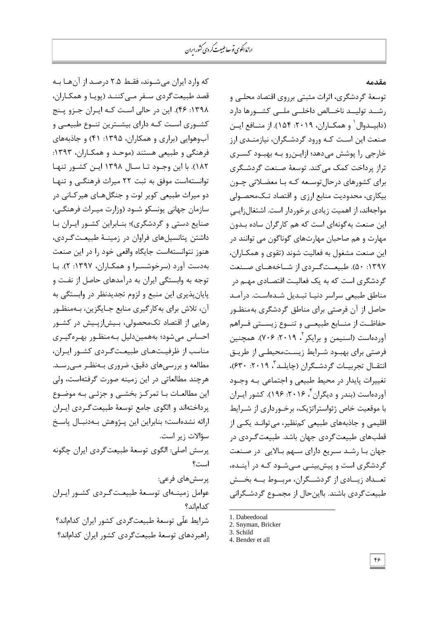## **مقذمٍ**

که وارد ایران میشوند، فقـط ۲.۵ درصـد از آنهـا بـه قصد طبیعت گردی سـفر مـے کننـد (یویـا و همکـاران، ۱۳۹۸: ۴۶). این در حالی است کـه ایـران جـزو پـنج كشـوری اسـت كـه دارای بیشـترین تنـوع طبیعـی و آبِ وهوايي (براري و همكاران، ١٣٩۵: ۴۱) و جاذبههاى فرهنگی و طبیعی هستند (موحـد و همکـاران، ١٣٩٣: ١٨٢). با این وجـود تـا سـال ١٣٩٨ ایـن کشـور تنهـا توانستهاست موفق به ثبت ٢٢ میراث فرهنگی و تنها دو میراث طبیعی کویر لوت و جنگلهای هیر کـانی در سازمان جهانی یونسکو شــود (وزارت میــراث فرهنگــی، صنایع دستی و گردشگری)؛ بنـابراین کشـور ایـران بـا داشتن يتانسيلهاى فراوان در زمينـهٔ طبيعـت *گـ*ردى، هنوز نتوانستهاست جايگاه واقعي خود را در اين صنعت بهدست آورد (سرخوشسـرا و همکـاران، ۱۳۹۷: ۲). بـا توجِه بِه وابستگی ایران بِه درآمدهای حاصل از نفـت و يايان بذيري اين منبع و لزوم تجديدنظر در وابستگی به آن، تلاش براي به کارگيري منابع جـايگزين، بـهمنظـور رهایی از اقتصاد تکمحصولی، بیشازپیش در کشـور احساس می شود؛ بههمیندلیل به منظور بهرهگیری مناسب از ظرفیتهای طبیعتگردی کشور ایران، مطالعه و بررسیهای دقیق، ضروری بـهنظـر مـیرسـد. هرچند مطالعاتي در اين زمينه صورت گرفتهاست، ولي اين مطالعـات بـا تمركـز بخشـی و جزئـی بـه موضـوع پرداختهاند و الگوى جامع توسعهٔ طبیعت گـردى ايـران ارائه نشدهاست؛ بنابراين اين يــژوهش بــهدنبــال ياسـخ سؤالات زیر است. پرسش اصلي: الگوى توسعهٔ طبيعت گردى ايران چگونه است؟ یرسش های فرعی: عوامل زمینـهاى توسـعهٔ طبیعـتگـردى كشـور ايـران كدام اند؟ شرايط علّى توسعهٔ طبيعت¢دى كشور ايران كداماند؟ راهبردهاى توسعة طبيعت گردى كشور ايران كداماند؟

توسعهٔ گردشگری، اثرات مثبتی برروی اقتصاد محلبی و رشید تولیید ناخیالص داخلیی ملیی کشیورها دارد (دابیــدوال` و همکــاران، ۲۰۱۹: ۱۵۴). از منــافع ایــن صنعت این است کـه ورود گردشـگران، نیازمنـدی ارز خارجی را یوشش میٖدهد؛ ازایین و بـه بهبـود کسـری تراز پرداخت کمک می کند. توسعهٔ صـنعت گردشـگری برای کشورهای درحال توسـعه کـه بـا معضـلاتی چـون بیکاری، محدودیت منابع ارزی و اقتصاد تـکمحصـولی مواجهاند، از اهمیت زیادی برخوردار است. اشتغالزایی اين صنعت به گونهاى است كه هم كارگران ساده بـدون مهارت و هم صاحبان مهارتهاى گوناگون مى توانند در اين صنعت مشغول به فعاليت شوند (تقوى و همكـاران، ۱۳۹۷: ۵۰). طبیعت گـردی از شــاخههــای صــنعت گردشگری است که به یک فعالیـت اقتصـادی مهـم در مناطق طبیعی سراسر دنیـا تبـدیل شـدهاسـت. درآمـد حاصل از آن فرصتی برای مناطق گردشگری به منظـور حفاظـت از منــابع طبیعــی و تنــوع زیســتی فــراهم آوردهاست (اسنيمن و برايكر <sup>۲</sup>، ۲۰۱۹: ۷۰۶). همچنين فرصتی برای بهبود شـرایط زیستمحیطـی از طریـق نتقــال تجربيــات گردشــگران (چايلــد ّ، ٢٠١٩: ٤٣٠)، تغییرات پایدار در محیط طبیعی و اجتماعی بـه وجـود آوردهاست (بندر و دیگران ٔ ۲۰۱۶: ۱۹۶). کشور ایـران با موقعیت خاص ژئواستراتژیک، برخـورداری از شـرایط اقلیمی و جاذبههای طبیعی کمنظیر، می توانـد یکـی از قطبهای طبیعت گردی جهان باشد. طبیعت گـردی در جهان با رشد سریع دارای سهم بالایی در صنعت گردشگری است و پیشِبینے مے شـود کـه در آینـده، تعــداد زیـــادی از گردشـــگران، مربـــوط بـــه بخـــش طبيعت گردي باشند. بااينحال از مجمـوع گردشـگراني

 $\overline{a}$ 

<sup>1.</sup> Dabeedooal

<sup>2.</sup> Snyman, Bricker

<sup>3.</sup> Schild

<sup>4.</sup> Bender et all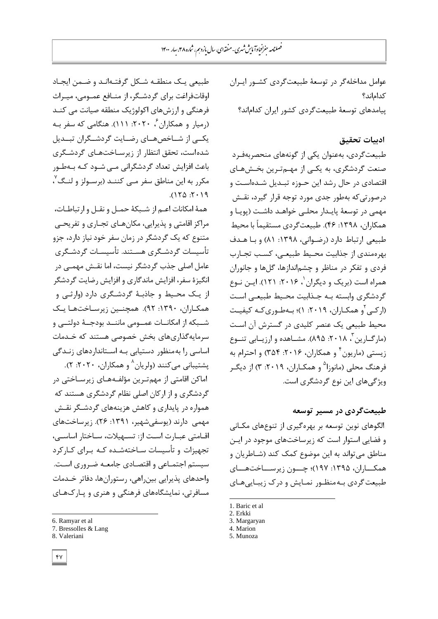طبیعی یک منطقـه شـكل گرفتـهانـد و ضـمن ایجـاد اوقاتفراغت برای گردشگر، از منـافع عمـومی، میـراث فرهنگی و ارزشهای اکولوژیک منطقه صیانت می کنـد (رمیار و همکاران <sup>۶</sup>، ۲۰۲۰: ۱۱۱). هنگامی که سفر بـه یکــی از شــاخصهــاى رضــایت گردشــگران تبــدیل شده است، تحقق انتظار از زیرسـاختهـای گردشـگری باعث افزایش تعداد گردشگرانی مـی شـود کـه بـهطـور مکرر به این مناطق سفر مـي کننـد (برسـولز و لنـگ<sup>۷</sup>،  $.112.511$ 

همهٔ امکانات اعـم از شـبکهٔ حمـل و نقـل و ارتباطـات، مراکز اقامتی و پذیرایی، مکانهـای تجـاری و تفریحـی متنوع که یک گردشگر در زمان سفر خود نیاز دارد، جزو تأسیسات گردشـگری هسـتند. تأسیسـات گردشـگری عامل اصلی جذب گردشگر نیست، اما نقـش مهمـی در انگیزهٔ سفر، افزایش ماندگاری و افزایش رضایت گردشگر از یک محیط و جاذبهٔ گردشگری دارد (وارثی و همکـاران، ۱۳۹۰: ۹۲). همچنـین زیرسـاختهـا یـک شــبکه از امکانــات عمــومی ماننــد بودجــهٔ دولتــی و سرمایهگذاریهای بخش خصوصی هستند که خـدمات اساسی را به منظور دستیابی به استانداردهای زنـدگی

پشتیبانی میکنند (ولریان<sup>^</sup> و همکاران، ۲۰۲۰: ۲). اماکن اقامتی از مهمترین مؤلفـههـای زیرسـاختی در گردشگری و از ارکان اصلی نظام گردشگری هستند که همواره در پایداری و کاهش هزینههای گردشگر نقـش مهمی ِ دارند (یوسفیشهیر، ۱۳۹۱: ۲۶). زیرساختهای اقـامتی عبـارت اسـت از: تسـهیلات، سـاختار اساسـی، تجهیزات و تأسیسات سـاختهشـده کـه بـرای کـارکرد سیستم اجتمـاعی و اقتصـادی جامعـه ضـروری اسـت. واحدهاى پذيرايى بين راهى، رستورانها، دفاتر خـدمات مسافرتی، نمایشگاههای فرهنگی و هنری و پـارکهـای

عوامل مداخلهگر در توسعهٔ طبیعتگردی کشـور ایـران كداماند؟

ييامدهاى توسعهٔ طبيعتگردى كشور ايران كداماند؟

## ادبيات تحقيق

طبیعتگردی، بهعنوان یکی از گونههای منحصربهفرد صنعت گردشگري، به یکی از مهـمترین بخـشهـاي اقتصادی در حال رشد این حـوزه تبـدیل شـدهاسـت و درصور تی که بهطور جِدی مورد توجه قرار گیرد، نقـش مهمی در توسعهٔ پایـدار محلـی خواهـد داشـت (پویـا و همكاران، ١٣٩٨: ۴۶). طبيعتگردي مستقيماً با محيط طبیعی ارتباط دارد (رضوانی، ۱۳۹۸: ۸۱) و با هدف بهرهمندی از جذابیت محیط طبیعے، کسب تجـارب فردى و تفكر در مناظر و چشماندازها، گلها و جانوران همراه است (بریک و دیگران <sup>۱</sup>، ۲۰۱۶: ۱۲۱). ایـن نـوع گردشگری وابسته بـه جـذابیت محـیط طبیعـی اسـت (ارکـی ٔ و همکـاران، ۲۰۱۹: ۱)؛ بـهطـوریکـه کیفیـت محیط طبیعی یک عنصر کلیدی در گسترش آن است (مارگــارین <sup>۳</sup>، ۲۰۱۸: ۸۹۵). مشــاهده و ارزیــابی تنــوع زیستی (ماریون ٔ و همکاران، ۲۰۱۶: ۳۵۴) و احترام به فرهنگ محلی (مانوزا<sup>۵</sup> و همکـاران، ۲۰۱۹: ۳) از دیگـر ويژگىهاى اين نوع گردشگرى است.

طبیعت *گ*ردی در مسیر توسعه

الگوهای نوین توسعه بر بهرهگیری از تنوعِهای مکـانی و فضايي استوار است كه زيرساختهاي موجود در ايـن مناطق می تواند به این موضوع کمک کند (شـاطریان و همکـــاران، ۱۳۹۵: ۱۹۷)؛ چـــون زیرســـاختهـــای طبیعت گردی بـهمنظـور نمـایش و درک زیبـایی هـای

- 5. Munoza
- 

 $\overline{a}$ 

<sup>6.</sup> Ramyar et al

<sup>7.</sup> Bressolles & Lang

<sup>8.</sup> Valeriani

<sup>1.</sup> Baric et al

<sup>2.</sup> Erkki

<sup>3.</sup> Margaryan 4. Marion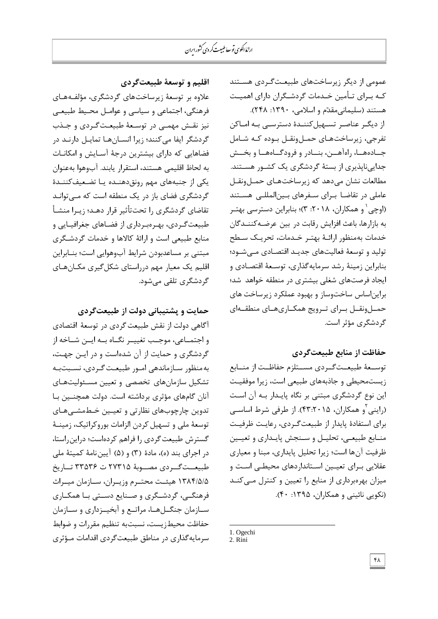عمومی از دیگر زیرساختهای طبیعت گـردی هسـتند کـه بـراى تـأمين خـدمات گردشـگران داراى اهميـت هستند (سليماني مقدّم و اسلامي، ١٣٩٠: ٢۴٨).

از دیگـر عناصـر تسـهیل کننـدهٔ دسترسـی بـه امـاکن تفرجی، زیرساختهای حملونقل بوده که شامل جـادههــا، راهآهــن، بنــادر و فرودگــاههــا و بخــش جداییناپذیری از بستهٔ گردشگری یک کشـور هسـتند. مطالعات نشان میدهد که زیرساختهای حملونقل عاملی در تقاضا برای سفرهای بینالمللی هستند (اوچی ٰ و همکاران، ۲۰۱۸: ۳)؛ بنابراین دسترسی بهتـر به بازارها، باعث افزايش رقابت در بين عرضـهكننـدگان خدمات بهمنظور ارائـهٔ بهتـر خـدمات، تحریـک سـطح تولید و توسعهٔ فعالیتهای جدیـد اقتصـادی مـیشـود؛ بنابراين زمينهٔ رشد سرمايهگذاري، توسـعهٔ اقتصـادي و ایجاد فرصتهای شغلی بیشتری در منطقه خواهد شد؛ براين اساس ساختوساز و بهبود عملكرد زيرساخت هاى حمــلونقــل بــرای تــرویج همکــاریهــای منطقــهای گردشگری مؤثر است.

## حفاظت از منابع طبیعت *گ*ردی

توسـعهٔ طبیعـتگـردی مسـتلزم حفاظـت از منــابع زیستمحیطی و جاذبههای طبیعی است، زیرا موفقیت اين نوع گردشگري مبتني بر نگاه پايـدار بـه آن اسـت (راینی <sup>۲</sup>و همکاران، ۴۳:۲۰۱۵). از طرفی شرط اساســی برای استفادهٔ پایدار از طبیعت گردی، رعایت ظرفیت منـابع طبيعـی، تحليـل و سـنجش پايـداری و تعيـين ظرفيت آنها است؛ زيرا تحليل پايداري، مبنا و معياري عقلایی بـرای تعیـین اسـتانداردهای محیطـی اسـت و میزان بهرهبرداری از منابع را تعیین و کنترل می کنـد (نکویی نائینی و همکاران، ۱۳۹۵: ۴۰).

-

اقليم و توسعهٔ طبيعتگردي

علاوه بر توسعهٔ زیرساختهای گردشگری، مؤلفـههـای فرهنگی، اجتماعی و سیاسی و عوامـل محـیط طبیعـی نیز نقش مهمـے در توسـعهٔ طبیعـت *گ*ـردی و جـذب گردشگر ایفا می کنند؛ زیرا انسـانهـا تمایـل دارنـد در فضاهايي که داراي بيشترين درجهٔ آسـایش و امکانـات بِه لحاظ اقليمي هستند، استقرار يابند. آبوهوا بهعنوان یکی از جِنبِههای مهم رونقٍ دهنـده یـا تضـعیفکننـدهٔ گردشگری فضای باز در یک منطقه است که مـی توانـد تقاضای گردشگری را تحتتأثیر قرار دهـد؛ زیـرا منشـأ طبیعت گـردی، بهـرهبـرداری از فضـاهای جغرافیـایی و منابع طبیعی است و ارائهٔ کالاها و خدمات گردشگری مبتنى بر مساعدبودن شرايط آبوهوايي است؛ بنـابراين اقلیم یک معیار مهم درراستای شکل گیری مک)نهای گردشگری تلقے مےشود.

حمايت و پشتيباني دولت از طبيع*ت گ*ردي

آگاهی دولت از نقش طبیعت گردی در توسعهٔ اقتصادی و اجتمـاعی، موجـب تغییـر نگـاه بـه ایــن شــاخه از گردشگری و حمایت از آن شدهاست و در ایـن جهـت، بِه منظور سـازماندهی امـور طبیعـت گـردی، نسـبتبـه تشكيل سازمانهاى تخصصى و تعيين مسئوليتهاى آنان گامهای مؤثری برداشته است. دولت همچنـین بـا تدوین چارچوبهای نظارتی و تعیـین خـطمشـیهـای توسعهٔ ملی و تسهیل کردن الزامات بوروکراتیک، زمینـهٔ گسترش طبيعت گردي را فراهم كردهاست؛ دراين راستا، در اجراي بند (ه)، مادهٔ (٣) و (۵) آيين نامهٔ كميتهٔ ملي طبیعــتگــردی مصــوبهٔ ۲۷۳۱۵ ت $\zeta$  تــاریخ ۱۳۸۴/۵/۵ هیئـت محتـرم وزیـران، سـازمان میـراث فرهنگـی، گردشــگری و صـنایع دســتی بــا همکــاری سـازمان جنگــلهــا، مراتــع و آبخیــزداری و ســازمان حفاظت محيطزيست، نسبتبه تنظيم مقررات و ضوابط سرمایه گذاری در مناطق طبیعت گردی اقدامات مـؤثری

<sup>1.</sup> Ogechi

<sup>2.</sup> Rini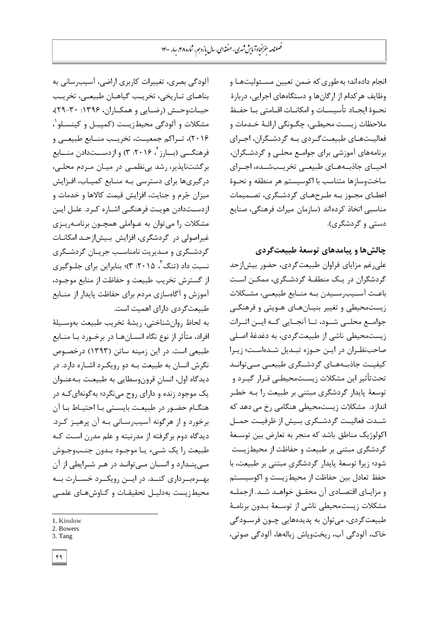انجام داده اند؛ به طوري كه ضمن تعیین مسـئولیتهـا و وظایف هر کدام از ارگانها و دستگاههای اجرایی، دربارهٔ نحـوهٔ ایجـاد تأسیسـات و امکانـات اقــامتی بــا حفــظ ملاحظات زیسـت محیطـی، چگـونگی ارائـهٔ خـدمات و فعالیـتهـای طبیعـتگـردی بـه گردشـگران، اجـرای برنامههای آموزشی برای جوامع محلـی و گردشـگران، احیـای جاذبـههـای طبیعـی تخریـبشـده، اجـرای ساخت وسازها متناسب با اکوسیستم هر منطقه و نحوهٔ اعطـای مجـوز بـه طـرحهـای گردشـگری، تصـمیمات مناسبي اتخاذ كردهاند (سازمان ميراث فرهنگي، صنايع چالشها و پیامدهای توسعهٔ طبیع*ت*گردی

> علیرغم مزایای فراوان طبیعت گردی، حضور بیش|زحد گردشگران در یـک منطقـهٔ گردشـگرى، ممکـن اسـت باعـث آسـیب رسـیدن بـه منـابع طبیعـی، مشـكلات زیستمحیطی و تغییر بنیـانهـای هـویتی و فرهنگـی جوامــع محلــی شــود، تــا آنجــایی کــه ایــن اثــرات زیستمحیطی ناشی از طبیعتگردی، به دغدغهٔ اصلی صاحبنظران در ایین حوزه تبدیل شدهاست؛ زیرا کیفیـت جاذبـههـای گردشـگری طبیعـی مـیتوانـد تحتتأثير اين مشكلات زيستمحيطـي قـرار گيـرد و توسعهٔ پایدار گردشگری مبتنی بر طبیعت را بـه خطـر اندازد. مشكلات زيستمحيطي هنگامي رخ مي دهد كه شـدت فعالیــت گردشــگری بــیش از ظرفیــت حمــل اکولوژیک مناطق باشد که منجر به تعارض بین توسـعهٔ گردشگری مبتنی بر طبیعت و حفاظت از محیطزیست شود؛ زیرا توسعهٔ پایدار گردشگریِ مبتنی بر طبیعت، با حفظ تعادل بين حفاظت از محيطزيست و اكوسيستم و مزایبای اقتصـادی آن محقــق خواهــد شــد. ازجملــه مشكلات زیستمحیطی ناشی از توسـعهٔ بـدون برنامـهٔ طبیعت گردی، می توان به پدیدههایی چـون فرسـودگی خاک، آلودگی آب، ریختویاش زبالهها، آلودگی صوتی،

دستی و گردشگری).

آلودگی بصری، تغییرات کاربری اراضی، آسیبرسانی به بناهـای تـاریخی، تخریـب گیاهـان طبیعـی، تخریـب حیاتوحش (رضایی و همکـاران، ۱۳۹۶: ۳۰-۲۹)، مشكلات و ألودگى محيطزيست (كمپبـل و كينسـلو`، ۲۰۱۶)، تــراکم جمعیــت، تخریــب منــابع طبیعــی و فرهنگـــی (بـــارز<sup>۲</sup>، ۲۰۱۶: ۳) و ازدســـتدادن منـــابع برگشتنایذیر، رشد بی نظمی در میـان مـردم محلـی، درگیریها برای دسترسی بـه منـابع کمیـاب، افـزایش میزان جُرم و جنایت، افزایش قیمت کالاها و خدمات و ازدسـتدادن هویـت فرهنگـی اشـاره کـرد. علـل ایـن مشکلات را میتوان به عـواملی همچـون برنامـهریـزی غیراصولی در گردشگری، افزایش بیشازحـد امکانــات گردشگری و مـدیریت نامناسـب جریـان گردشـگری نسبت داد (تنگ "، ۲۰۱۵: ۳)؛ بنابراین برای جلـوگیری از گسترش تخریب طبیعت و حفاظت از منابع موجـود، آموزش و آگاهسازی مردم برای حفاظت پایدار از منـابع طبیعت گردی دارای اهمیت است.

بِه لحاظ روانِشناختی، ریشهٔ تخریب طبیعت بهوسـیلهٔ افراد، متأثر از نوع نگاه انســانهــا در برخــورد بــا منــابع طبیعی است. در این زمینه ساتن (۱۳۹۳) درخصـوص نگرش انسان به طبیعت بـه دو رویکـرد اشـاره دارد. در دیدگاه اول، انسان قرونوسطایی به طبیعت بـهعنـوان یک موجود زنده و دارای روح مینگرد؛ بهگونهای کـه در هنگـام حضـور در طبیعـت بایسـتی بـا احتیـاط بـا آن برخورد و از هرگونه آسیبرسـانی بـه آن پرهیـز کـرد. دیدگاه دوم برگرفته از مدرنیته و علم مدرن است کـه طبیعت را یک شـیء یـا موجـود بـدون جنـبوجـوش مـیپنـدارد و انسـان مـیتوانـد در هـر شـرایطی از آن بهشره بشرداری کنید. در ایسن رویکسرد خستارت بیه محیط; یست بهدلیـل تحقیقـات و کـاوشهـای علمـی

l 1. Kinslow

<sup>2.</sup> Bowers

<sup>3.</sup> Tang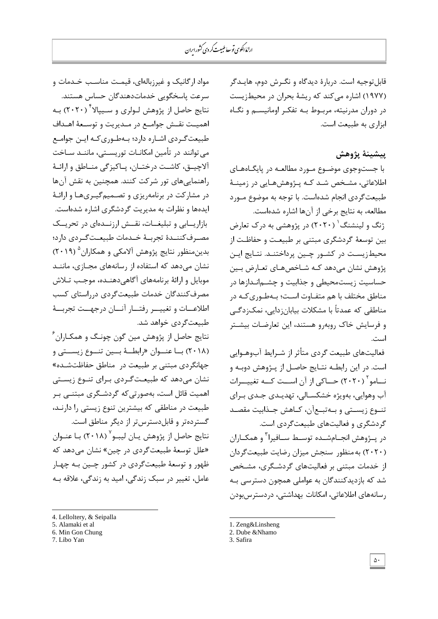قابلتوجیه است. دربارهٔ دیدگاه و نگـرش دوم، هایــدگر (۱۹۷۷) اشاره می کند که ریشهٔ بحران در محیط; پست در دوران مدرنیته، مربوط بِـه تفکـر اومانیســم و نگـاه ابزاری به طبیعت است.

## ييشينهٔ پژوهش

با جستوجوی موضـوع مـورد مطالعـه در پایگـاههـای اطلاعاتی، مشخص شد كـه پـژوهشهـایی در زمینـهٔ طبیعت گردی انجام شدهاست. با توجه به موضوع مـورد مطالعه، به نتايج برخي از آنها اشاره شدهاست.

ژنگ و لینشنگ<sup>'</sup> (۲۰۲۰) در پژوهشی به درک تعارض بين توسعهٔ گردشگری مبتنی بر طبيعت و حفاظت از محیطزیسـت در کشـور چـین پرداختنـد. نتـایج ایـن یژوهش نشان میدهد کـه شـاخصهای تعـارض بـین حساسیت زیستمحیطی و جذابیت و چشــمانـدازها در مناطق مختلف با هم متفـاوت اسـت؛ بـهطـوری کـه در مناطقی که عمدتاً با مشکلات بیابان;دایی، نمک;دگـے و فرسایش خاک روبهرو هستند، این تعارضات بیشتر است.

فعالیتهای طبیعت گردی متأثر از شـرایط آبوهـوایی است. در این رابطـه نتـایجِ حاصـل از پـژوهش دوبـه و نـــامو<sup>۲</sup> (۲۰۲۰) حـــاکی از آن اســـت کـــه تغییـــرات آب وهوایی، بهویژه خشکسـالی، تهدیـدی جـدی بـرای تنـوع زیسـتی و بـهتبـعآن، کـاهش جـذابیت مقصـد گردشگری و فعالیتهای طبیعتگردی است.

در پــژوهش انجــامشــده توســط ســافیرا<sup>۳</sup> و همکــاران (۲۰۲۰) به منظور سنجش میزان رضایت طبیعت گردان از خدمات مبتنی بر فعالیتهای گردشگری، مشخص شد که بازدیدکنندگان به عواملی همچون دسترسی بـه رسانههای اطلاعاتی، امکانات بهداشتی، دردسترس،بودن

- 1. [Zeng&Linsheng](https://www.sciencedirect.com/science/article/abs/pii/S1470160X1930785X#!)
- 2. Dube &Nhamo

-

مواد ارگانیک و غیرزبالهای، قیمت مناسب خـدمات و سرعت ياسخگويى خدماتدهندگان حساس هستند. نتایج حاصل از پژوهش لـولری و ســیپالا<sup>۴ (</sup> ۲۰۲۰) بــه اهمیـت نقـش جوامـع در مـدیریت و توسـعهٔ اهـداف طبیعت گـردی اشـاره دارد؛ بـهطـوری کـه ایـن جوامـع می توانند در تأمین امکانـات توریسـتی، ماننـد سـاخت آلاچیـق، كاشـت درختـان، پـاكيزگی منـاطق و ارائـهٔ راهنمايي هاى تور شركت كنند. همچنين به نقش آن ها در مشارکت در برنامهریزی و تصـمیم گیـریهـا و ارائـهٔ ایدهها و نظرات به مدیریت گردشگری اشاره شدهاست. بازاریسابی و تبلیغات، نقسش ارزنسدهای در تحریسک مصـرفکننــدهٔ تجربــهٔ خــدمات طبیعــتگــردی دارد؛ بدين منظور نتايج پژوهش آلامكى و همكاران<sup>۵</sup> (۲۰۱۹) نشان میدهد که استفاده از رسانههای مجـازی، ماننــد موبایل و ارائهٔ برنامههای آگاهی۵دهنـده، موجـب تـلاش مصرف كنندگان خدمات طبيعت گردي درراستاي كسب اطلاعــات و تغییـــر رفتـــار آنـــان درجهـــت تجربـــهٔ طبیعتگردی خواهد شد.

نتايج حاصل از پژوهش مين گون چونـگ و همكـاران ً (۲۰۱۸) بسا عنسوان «رابطسهٔ بسین تنسوع زیسستی و جهانگردی مبتنی بر طبیعت در مناطق حفاظتشده» نشان میدهد که طبیعتگردی بـرای تنــوع زیسـتی اهمیت قائل است، بهصورتیکه گردشگری مبتنـی بـر طبيعت در مناطقي كه بيشترين تنوع زيستي را دارنـد، گسترِ دهتر و قابل دسترس تر از دیگر مناطق است. نتايج حاصل از پژوهش يــان ليبــو<sup>٬</sup> (۲۰۱۸) بــا عنــوان «علل توسعهٔ طبیعت گردی در چین» نشان می دهد که ظهور و توسعهٔ طبیعتگردی در كشور چـین بـه چهـار عامل، تغییر در سبک زندگی، امید به زندگی، علاقه بـه

- 4. Lelloltery, & Seipalla
- 5. Alamaki et al
- 6. Min Gon Chung

<sup>3.</sup> Safira

<sup>7.</sup> Libo Yan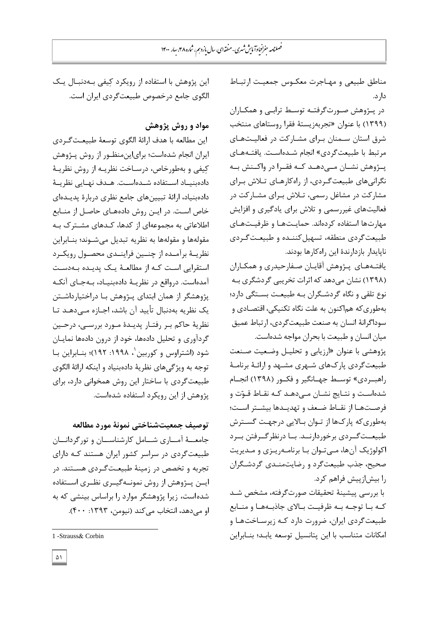مناطق طبیعی و مهـاجرت معكـوس جمعیـت ارتبـاط دا, د.

در پـژوهش صـورتگرفتـه توسـط ترابـی و همکـاران (۱۳۹۹) با عنوان «تجربهزیستهٔ فقرا روستاهای منتخب شرق استان سـمنان بـرای مشـارکت در فعالیـتهـای مرتبط با طبیعت گردی» انجام شـدهاسـت. یافتـههـای پــژوهش نشــان مــیدهــد کــه فقــرا در واکــنش بــه نگرانیهای طبیعت گردی، از راهکارهای تلاش برای مشاركت در مشاغل رسمی، تـلاش بـرای مشـاركت در فعالیتهای غیررسمی و تلاش برای یادگیری و افزایش مهارتها استفاده کردهاند. حمایتها و ظرفیتهای طبیعت گردی منطقه، تسهیل کننـده و طبیعـت گـردی ناپايدار بازدارندهٔ اين راهكارها بودند.

یافتـههـای پـژوهش آقایـان صـفارحیدری و همكـاران (۱۳۹۸) نشان میدهد که اثرات تخریبی گردشگری بـه نوع تلقی و نگاه گردشگران بیه طبیعت بستگی دارد؛ بِهطورى كه هماكنون به علت نگاه تكنيكي، اقتصـادى و سوداگرانهٔ انسان به صنعت طبیعتگردی، ارتباط عمیق میان انسان و طبیعت با بحران مواجه شدهاست.

پژوهشی با عنوان «ارزیابی و تحلیـل وضـعیت صـنعت طبیعتگردی پارکهای شـهری مشـهد و ارائـهٔ برنامـهٔ راهبـردی» توسـط جهـانگیر و فكـور (۱۳۹۸) انجـام شدهاست و نتـایج نشـان مـیدهـد كـه نقـاط قـوّت و فرصـتهـا از نقـاط ضـعف و تهدیـدها بیشـتر اسـت؛ بِهطوری که پارکها از تـوان بـالایی درجهـت گسـترش طبيعـتگـردی برخوردارنــد. بــا درنظرگــرفتن بــرد اکولوژیک آنها، مے توان بـا برنامـهریـزی و مـدیریت صحیح، جذب طبیعتگرد و رضایتمنـدی گردشـگران را بیش¦زییش فراهم کرد.

با بررسی پیشینهٔ تحقیقات صورتگرفته، مشخص شد کـه بـا توجـه بـه ظرفیـت بـالای جاذبـههـا و منـابع طبیعت گردی ایران، ضرورت دارد کـه زیرسـاختهـا و امكانات متناسب با اين يتانسيل توسعه يابـد؛ بنـابراين

اين پژوهش با استفاده از رويكرد كيفي بهدنبال يك الگوی جامع درخصوص طبیعت گردی ایران است.

## مواد و روش پژوهش

اين مطالعه با هدف ارائهٔ الگوی توسعهٔ طبيعتگردی ایران انجام شدهاست؛ برایاین منظور از روش پـژوهش کِیفی و بهطورخاص، درسـاخت نظریــه از روش نظریــهٔ دادهبنیاد استفاده شـدهاسـت. هـدف نهـایی نظریــهٔ دادهبنياد، ارائهٔ تبيينِهاي جامع نظري دربارهٔ يديـدهاي خاص است. در ایـن روش دادههـای حاصـل از منـابع اطلاعاتی به مجموعهای از کدها، کـدهای مشـترک بـه مقولهها و مقولهها به نظريه تبديل میشـوند؛ بنــابراين نظریـهٔ برآمـده از چنـین فراینـدی محصـول رویکـرد استقرایی است که از مطالعهٔ یک پدیده بهدست آمدهاست. درواقع در نظریـهٔ دادهبنیـاد، بـهجـای آنکـه پژوهشگر از همان ابتدای پـژوهش بـا دراختیارداشـتن یک نظریه بهدنبال تأیید آن باشد، اجـازه مـیٖدهـد تـا نظريهٔ حاكم بـر رفتـار پديـدهٔ مـورد بررسـي، درحـين گردآورى و تحليل دادهها، خود از درون دادهها نمايـان شود (اشتراوس و کوربين`، ۱۹۹۸: ۱۹۲)؛ بنــابراين بــا توجه به ويژگىهاى نظريهٔ دادهبنياد و اينكه ارائهٔ الگوى طبيعت گردي با ساختار اين روش همخواني دارد، براي پژوهش از اين رويكرد استفاده شدهاست.

توصيف جمعيتشناختي نمونهٔ مورد مطالعه

جامعــهٔ آمــاری شــامل کارشناســان و تورگردانـــان طبیعت گردی در سراسر کشور ایران هستند کـه دارای تجربه و تخصص در زمینهٔ طبیعتگردی هسـتند. در ایــن پــژوهش از روش نمونــهگیــری نظــری اســتفاده شده است، زیرا پژوهشگر موارد را براساس بینشی كه به او می دهد، انتخاب می کند (نیومن، ۱۳۹۳: ۴۰۰).

<sup>1</sup> -Strauss& Corbin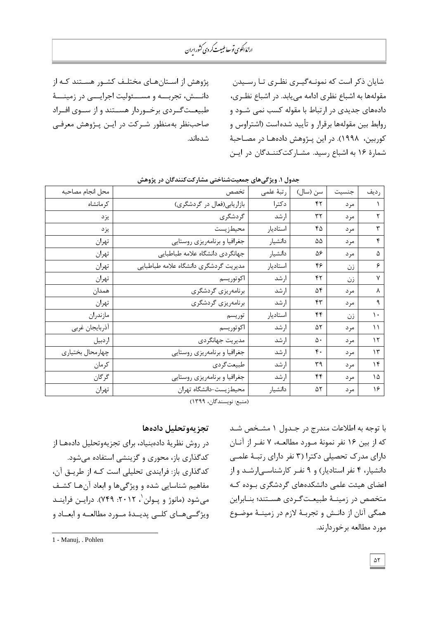پژوهش از استانهای مختلف کشـور هسـتند کـه از دانـــش، تجربـــه و مســـئولیت اجرایـــی در زمینــــهٔ طبیعـتگـردی برخـوردار هسـتند و از سـوی افـراد صاحبِنظر بهمنظور شـرکت در ایـن پـژوهش معرفـی شدەاند.

شایان ذکر است که نمونـهگیـری نظـری تـا رسـیدن مقولهها به اشباع نظری ادامه می یابد. در اشباع نظـری، دادههای جدیدی در ارتباط با مقوله کسب نمی شـود و روابط بين مقولهها برقرار و تأييد شدهاست (اشتراوس و کوربين، ١٩٩٨). در اين پــژوهش دادههـا در مصـاحبهٔ شمارهٔ ۱۶ به اشباع رسید. مشـارکتکننـدگان در ایـن

| محل انجام مصاحبه | تخصص                                  | رتبهٔ علمی | سن (سال)         | جنسيت | رديف          |
|------------------|---------------------------------------|------------|------------------|-------|---------------|
| کر مانشاه        | بازاریابی(فعال در گردشگری)            | دكترا      | ۴٢               | مرد   | ١             |
| يزد              | گردشگری                               | ارشد       | ٣٢               | مرد   | ٢             |
| يزد              | محيطزيست                              | استاديار   | ۴۵               | مر د  | ٣             |
| تهران            | جغرافيا و برنامهريزي روستايي          | دانشيار    | ۵۵               | مرد   | ۴             |
| تهران            | جهانگردي دانشگاه علامه طباطبايي       | دانشيار    | ۵۶               | مرد   | ۵             |
| تهران            | مديريت گردشگري دانشگاه علامه طباطبايي | استاديار   | ۴۶               | زن    | ۶             |
| تهران            | اكوتوريسم                             | ارشد       | ۴۲               | زن    | ٧             |
| همدان            | برنامەريزى گردشگرى                    | ارشد       | ۵۴               | مر د  | ٨             |
| تهران            | برنامەريزى گردشگرى                    | ارشد       | ۴۳               | مرد   | ٩             |
| مازندران         | توريسم                                | استاديار   | ۴۴               | زن    | $\mathcal{L}$ |
| أذربايجان غربي   | اكوتوريسم                             | ارشد       | ۵۲               | مر د  | $\setminus$   |
| اردبيل           | مديريت جهانگردي                       | ارشد       | ۵۰               | مر د  | $\mathcal{N}$ |
| چهارمحال بختياري | جغرافيا و برنامهريزي روستايي          | ارشد       | $\mathfrak{r}$ . | مر د  | $\gamma$      |
| كرمان            | طبيعتگردي                             | ارشد       | ٣٩               | مرد   | ۱۴            |
| گرگان            | جغرافيا و برنامهريزي روستايي          | ارشد       | ۴۴               | مرد   | ۱۵            |
| تهران            | محيطزيست-دانشگاه تهران                | دانشيار    | ۵٢               | مرد   | ۱۶            |

## جدول **۱. ویژگیِهای جمعیتشناختی مشارکتکنندگان در پژ**وهش

(منبع: نويسندگان، ١٣٩٩)

با توجه به اطلاعات مندرج در جـدول ۱ مشـخص شـد كه از بين ١۶ نفر نمونهٔ مــورد مطالعــه، ٧ نفـر از آنــان دارای مدرک تحصیلی دکترا (۳ نفر دارای رتبـهٔ علمـی دانشیار، ۴ نفر استادیار) و ۹ نفـر کارشناسـی ارشـد و از اعضای هیئت علمی دانشکدههای گردشگری بـوده کـه متخصص در زمينــهٔ طبيعـتگـردی هسـتند؛ بنـابراين همگی آنان از دانـش و تجربـهٔ لازم در زمینـهٔ موضـوع مورد مطالعه برخوردارند.

## تجزيهوتحليل دادهها

در روش نظریهٔ دادهبنیاد، برای تجزیهوتحلیل دادههـا از كدگذاري باز، محوري و گزينشي استفاده ميشود. كدگذاری باز: فرایندی تحلیلی است كـه از طریـق آن، مفاهیم شناسایی شده و ویژگیها و ابعاد آنهـا کشـف میشود (مانوژ و پـولن`، ۲۰۱۲: ۷۴۹). درایــن فراینــد ویژگییهای کلبی پدییدهٔ میورد مطالعیه و ابعیاد و

<sup>1</sup> - [Manuj,](https://www.emerald.com/insight/search?q=Ila%20Manuj) . [Pohlen](https://www.emerald.com/insight/search?q=Ila%20Manuj)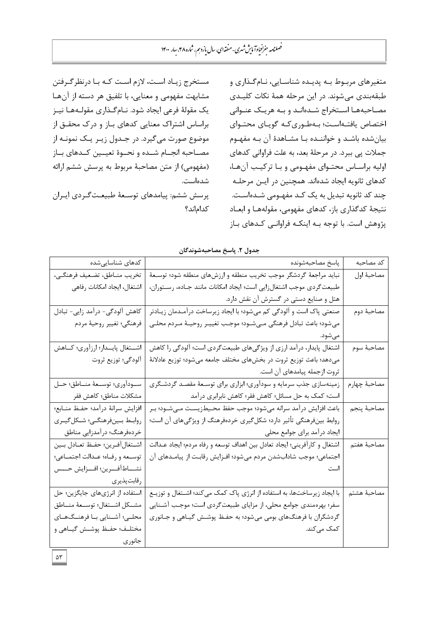مستخرج زيـاد اسـت، لازم اسـت كـه بـا درنظرگـرفتن مشابهت مفهومی و معنایی، با تلفیق هر دسته از آن هـا یک مقولهٔ فرعی ایجاد شود. نـام *گ*ـذاری مقولـههـا نیـز براساس اشتراک معنایی کدهای بـاز و درک محقــق از موضوع صورت میگیرد. در جـدول زیـر یـک نمونـه از مصـاحبه انجــام شــده و نحــوهٔ تعیــین كــدهای بــاز (مفهومي) از متن مصاحبهٔ مربوط به پرسش ششم ارائه شده است. یرسش ششم: ییامدهای توسعهٔ طبیعتگردی ایـران كداماند؟ متغیرهای مربوط به پدیده شناسـایی، نـامگـذاری و طبِقهبِندي مي شوند. در اين مرحله همهٔ نكات كليـدي مصاحبهها استخراج شدهاند و به هریک عنوانی اختصاص یافتهاست؛ بهطوری که گویای محتوای بیان شده باشـد و خواننـده بـا مشـاهدهٔ آن بـه مفهـوم جملات پی ببرد. در مرحلهٔ بعد، به علت فراوانی کدهای اولیه براسـاس محتـوای مفهـومی و بـا ترکیـب آنهـا، كدهای ثانويه ايجاد شدهاند. همچنين در ايـن مرحلـه چند کد ثانویه تبدیل به یک کـد مفهـومی شـدهاسـت. نتیجهٔ کدگذاری باز، کدهای مفهومی، مقولههـا و ابعـاد پژوهش است. با توجه بـه اینکـه فراوانـی کـدهای بـاز

**جذيل .6 پاسخ مصاحثٍضًوذگان**

| كد مصاحبه    | پاسخ مصاحبهشونده                                                          | کدهای شناساییشده                   |
|--------------|---------------------------------------------------------------------------|------------------------------------|
| مصاحبة اول   | نباید مراجعهٔ گردشگر موجب تخریب منطقه و ارزشهای منطقه شود؛ توسـعهٔ        | تخريب منــاطق، تضـعيف فرهنگــى،    |
|              | طبیعت گردی موجب اشتغالزایی است؛ ایجاد امکانات مانند جـاده، رسـتوران،      | اشتغال، ايجاد امكانات رفاهي        |
|              | هتل و صنایع دستی در گسترش آن نقش دارد.                                    |                                    |
| مصاحبة دوم   | صنعتی پاک است و آلودگی کم میشود؛ با ایجاد زیرساخت درآمـدمان زیـادتر       | کاهش آلودگی- درآمد زایی- تبادل     |
|              | ميشود؛ باعث تبادل فرهنگي مـيشـود؛ موجـب تغييـر روحيــهٔ مـردم محلـي       | فرهنگي؛ تغيير روحيهٔ مردم          |
|              | مىشود.                                                                    |                                    |
| مصاحبة سوم   | اشتغال پایدار، درآمد ارزی از ویژگیهای طبیعتگردی است؛ آلودگی را کاهش       | اشــتغال پايــدار؛ ارزآوري؛ كــاهش |
|              | میدهد؛ باعث توزیع ثروت در بخشهای مختلف جامعه میشود؛ توزیع عادلانهٔ        | آلودگي؛ توزيع ثروت                 |
|              | ثروت ازجمله پیامدهای آن است.                                              |                                    |
| مصاحبة چهارم | زمینهسازی جذب سرمایه و سودآوری؛ ابزاری برای توسعهٔ مقصد گردشگری           | ســوداًوري؛ توســعهٔ منــاطق؛ حــل |
|              | است؛ کمک به حل مسائل؛ کاهش فقر؛ کاهش نابرابری درآمد                       | مشكلات مناطق؛ كاهش فقر             |
| مصاحبة پنجم  | باعث افزایش درآمد سرانه میشود؛ موجب حفظ محـیطزیسـت مـیشـود؛ بـر           | افزايش سرانهٔ درآمد؛ حفـظ منــابع؛ |
|              | روابط بینفرهنگی تأثیر دارد؛ شکلگیری خردهفرهنگ از ویژگیهای آن است؛         | روابط بينفرهنگي؛ شكل گيري          |
|              | ایجاد درآمد برای جوامع محلی                                               | خردەفرهنگ؛ درآمدزايي مناطق         |
| مصاحبة هفتم  | اشتغال و كارآفريني؛ ايجاد تعادل بين اهداف توسعه و رفاه مردم؛ ايجاد عـدالت | اشـتغال أفـرين؛ حفـظ تعـادل بـين   |
|              | اجتماعی؛ موجب شادابشدن مردم میشود؛ افـزایش رقابـت از پیامـدهای آن         | توسـعه و رفـاه؛ عـدالت اجتمـاعي؛   |
|              |                                                                           | نشـــاط آفـــرين؛ افـــزايش حـــس  |
|              |                                                                           | رقابت پذیری                        |
| مصاحبة هشتم  | با ایجاد زیرساختها، به استفاده از انرژی پاک کمک میکند؛ اشـتغال و توزیـع   | استفاده از انرژیهای جایگزین؛ حل    |
|              | سفر؛ بهرهمندی جوامع محلی، از مزایای طبیعتگردی است؛ موجب آشـنایی           | مشــكل اشــتغال؛ توســعهٔ منــاطق  |
|              | گردشگران با فرهنگهای بومی میشود؛ به حفـظ پوشـش گیـاهی و جـانوری           | محلـى؛ آشــنايي بــا فرهنــگ1مـاي  |
|              | کمک میکند.                                                                | مختلـف؛ حفـظ پوشــش گيــاهي و      |
|              |                                                                           | جانوری                             |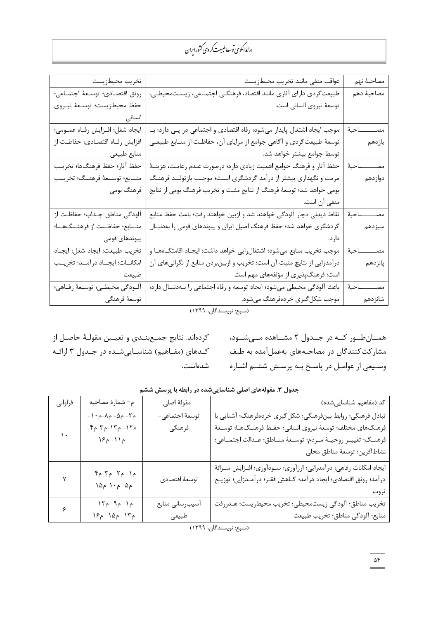| تخريب محيطزيست                       | عواقب منفى مانند تخريب محيطزيست                                                               | مصاحبة نهم           |
|--------------------------------------|-----------------------------------------------------------------------------------------------|----------------------|
| رونق اقتصادي؛ توسعهٔ اجتماعي؛        | طبیعت گردی دارای آثاری مانند اقتصاد، فرهنگـی اجتمـاعی، زیسـتمحیطـی،                           | مصاحبة دهم           |
| حفظ محيطزيست؛ توسعهٔ نيـروي          | توسعهٔ نیروی انسانی است.                                                                      |                      |
| انسانى                               |                                                                                               |                      |
| ايجاد شغل؛ افـزايش رفـاه عمـومي؛     | موجب ایجاد اشتغال پایدار میشود؛ رفاه اقتصادی و اجتماعی در پـی دارد؛ بـا                       | مصـــــــــــــاحبهٔ |
| افزايش رفـاه اقتصـادي؛ حفاظـت از     | توسعهٔ طبیعتگردی و آگاهی جوامع از مزایای آن، حفاظت از منـابع طبیعـی                           | يازدهم               |
| منابع طبيعي                          | توسط جوامع بیشتر خواهد شد.                                                                    |                      |
| حفظ آثار؛ حفظ فرهنگها؛ تخريب         | مصــــــــــــاحبهٔ   حفظ آثار و فرهنگ جوامع اهمیت زیادی دارد؛ درصورت عــدم رعایــت، هزینــهٔ |                      |
| منــابع؛ توســعهٔ فرهنــگ؛ تخريــب   | مرمت و نگهداری بیشتر از درآمد گردشگری است؛ موجب بازتولیـد فرهنـگ                              | دوازدهم              |
| فرهنگ بومی                           | بومی خواهد شد؛ توسعهٔ فرهنگ از نتایج مثبت و تخریب فرهنگ بومی از نتایج                         |                      |
|                                      | منفي آن است.                                                                                  |                      |
| آلودگی مناطق جـذاب؛ حفاظـت از        | نقاط ديدني دچار آلودگي خواهند شد و ازبين خواهند رفت؛ باعث حفظ منابع                           | مصــــــــــاحبهٔ    |
| منـــابع؛ حفاظـــت از فرهنـــگ@ـــا؛ | گردشگری خواهد شد؛ حفظ فرهنگ اصیل ایران و پیوندهای قومی را بهدنبـال                            | سيزدهم               |
| پیوندهای قومی                        |                                                                                               |                      |
| تخريب طبيعت؛ ايجاد شغل؛ ايجاد        | موجب تخريب منابع مي شود؛ اشتغالزايي خواهد داشت؛ ايجـاد اقامتگــاههــا و                       | ـاحبهٔ<br>مصــــــ   |
| امكانــات؛ ايجــاد درآمــد؛ تخريــب  | درآمدزایی از نتایچ مثبت آن است؛ تخریب و ازبینبردن منابع از نگرانیهای آن                       | پانزدهم              |
| طبيعت                                | است؛ فرهنگپذیری از مؤلفههای مهم است.                                                          |                      |
| آلـودگى محيطـى؛ توسـعهٔ رفـاهى؛      | باعث آلودگی محیطی میشود؛ ایجاد توسعه و رفاه اجتماعی را بـهدنبـال دارد؛                        | مصـــــــــــــاحبهٔ |
| توسعهٔ فرهنگی                        | موجب شکل گیری خردهفرهنگ میشود.                                                                | شانزدهم              |

(منبع: نويسندگان، ۱۳۹۹)

همـانطـور کـه در جـدول ۲ مشـاهده مـیشـود، مشارکت کنندگان در مصاحبههای بهعملآمده به طیف وسیعی از عوامـل در پاسـخ بـه پرسـش ششـم اشـاره

کردهاند. نتايج جمـعبنــدي و تعيــين مقولــهٔ حاصـل از کـدهای (مفــاهیم) شناســاییشــده در جــدول ۳ ارائــه شدهاست.

| فراواني | م= شمارهٔ مصاحبه                                                                         | مقولهٔ اصلی      | کد (مفاهیم شناسایی شده)                                               |
|---------|------------------------------------------------------------------------------------------|------------------|-----------------------------------------------------------------------|
|         | $-1 \cdot \rho - \Lambda - \rho$ م ۲ - م                                                 | توسعهٔ اجتماعی-  | تبادل فرهنگی؛ روابط بینفرهنگی؛ شکل گیری خردهفرهنگ؛ آشنایی با          |
|         | $-\mathcal{F}_{\rho} - \mathcal{F}_{\rho} - \mathcal{F}_{\rho} - \mathcal{F}_{\rho}$ ۹   | فرهنگى           | فرهنگهای مختلف؛ توسعهٔ نیروی انسانی؛ حفـظ فرهنـگـهـا؛ توسـعهٔ         |
| ۱.      | م ۱۱- م۱۶                                                                                |                  | فرهنـگ؛ تغييــر روحيــهٔ مــردم؛ توســعهٔ منــاطق؛ عــدالت اجتمــاعي؛ |
|         |                                                                                          |                  | نشاط آفرين؛ توسعهٔ مناطق محلي                                         |
|         |                                                                                          |                  | ايجاد امكانات رفاهي؛ درآمدزايي؛ ارزآوري؛ سـودآوري؛ افـزايش سـرانهٔ    |
|         | $-\mathcal{F}_{\rho} - \mathcal{F}_{\rho} - \mathcal{F}_{\rho} - \mathcal{F}_{\rho}$ م ۲ | توسعهٔ اقتصادی   | درآمد؛ رونق اقتصادي؛ ايجاد درآمد؛ كــاهش فقـر؛ درآمــدزايي؛ توزيــع   |
|         | $\Delta\rho - \Delta \cdot \rho - \Delta \rho$                                           |                  | ثروت                                                                  |
| ۶       | $-17 - 9 - 9$ ۹ – م                                                                      | أسيب رساني منابع | تخریب مناطق؛ ألودگی زیستمحیطی؛ تخریب محیطزیست؛ هـدررفت                |
|         | م۱۳- م۱۵- م۱۶                                                                            | طبيعي            | منابع؛ ألودگي مناطق؛ تخريب طبيعت                                      |
|         |                                                                                          |                  |                                                                       |

جدول ٣. مقولههای اصلی شناساییشده در رابطه با پرسش ششم

<sup>(</sup>منبع: نويسندگان، ۱۳۹۹)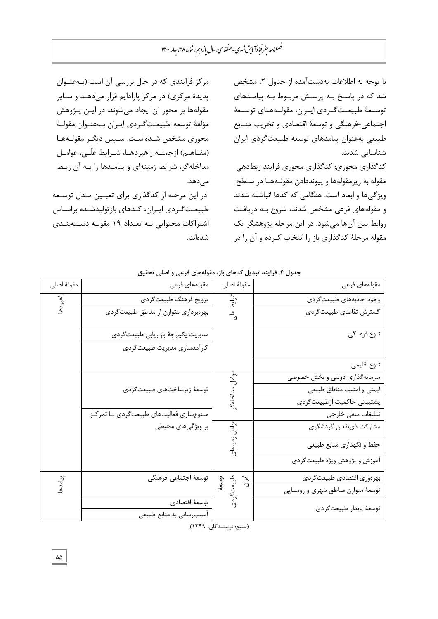مرکز فرایندی که در حال بررسی آن است (بـهعنـوان یدیدهٔ مرکزی) در مرکز یارادایم قرار میدهـد و سـایر مقولهها بر محور آن ایجاد میشوند. در ایـن پـژوهش مؤلفهٔ توسعه طبیعتگردی ایـران بـهعنـوان مقولـهٔ محوری مشخص شـدهاسـت. سـپس دیگـر مقولـههـا (مفــاهیم) ازجملــه راهبردهــا، شــرایط علّــی، عوامــل مداخلهگر، شرایط زمینهای و پیامدها را بـه آن ربـط مے ردھد. در این مرحله از کدگذاری برای تعیین مـدل توسـعهٔ طبیعت گـردی ایـران، کـدهای بازتولیدشـده براسـاس اشتراکات محتوایی به تعداد ۱۹ مقولـه دستهبنـدی قسُاًس. با توجه به اطلاعات بهدستآمده از جدول ۲، مشخص شد که در یاسـخ بـه پرسـش مربـوط بـه پیامـدهای توسـعهٔ طبیعـتگـردی ایـران، مقولـههـای توسـعهٔ اجتماعی-فرهنگی و توسعهٔ اقتصادی و تخریب منـابع طبیعی بهعنوان پیامدهاى توسعه طبیعت گردى ايران شناسایی شدند.

كدگذاري محوري: كدگذاري محوري فرايند ربطدهي مقوله به زیرمقولهها و پیونددادن مقولـههـا در سـطح ویژگیها و ابعاد است. هنگامی که کدها انباشته شدند و مقولههای فرعی مشخص شدند، شروع بـه دریافت روابط بين آنها ميشود. در اين مرحله پژوهشگر يک مقوله مرحلهٔ کدگذاری باز را انتخاب کـرده و آن را در

| مقولهٔ اصلی  | مقولەهاى فرعى                               | مقولهٔ اصلی                   | مقولەهاى فرعى                      |
|--------------|---------------------------------------------|-------------------------------|------------------------------------|
| أهبردها      | ترويج فرهنگ طبيعت گردي                      |                               | وجود جاذبههاي طبيعت گردي           |
|              | بهرهبرداری متوازن از مناطق طبیعت گردی       | شرايط علّى                    | گسترش تقاضاي طبيعتگردي             |
|              | مديريت يكپارچۀ بازاريابي طبيعتگردي          |                               | تنوع فرهنگي                        |
|              | كارأمدسازي مديريت طبيعت گردي                |                               |                                    |
|              |                                             |                               | تنوع اقليمى                        |
|              |                                             |                               | سرمایهگذاری دولتی و بخش خصوصی      |
|              | توسعهٔ زیرساختهای طبیعتگردی                 | بوامل مداخله                  | ايمني و امنيت مناطق طبيعي          |
|              |                                             |                               | پشتیبانی حاکمیت ازطبیعتگردی        |
|              | متنوع سازي فعاليتهاي طبيعت گردي با تمركز    |                               | تبليغات منفى خارجى                 |
|              | بر ویژگیهای محیطی                           | عوامل ز                       | مشاركت ذينفعان گردشگري             |
|              |                                             |                               | حفظ و نگهداري منابع طبيعي          |
|              |                                             |                               | أموزش و پژوهش ويژهٔ طبيعتگردي      |
| پيامدها<br>* | توسعهٔ اجتماعی–فرهنگی                       |                               | بهرهوري اقتصادي طبيعت كردي         |
|              |                                             | توسعهٔ<br>طبیعت گردی<br>ایران | توسعهٔ متوازن مناطق شهری و روستایی |
|              | توسعهٔ اقتصادی<br>أسيب رساني به منابع طبيعي |                               | توسعهٔ پايدار طبيعتگردي            |

## جدول ۴. فرايند تبديل كدهاي باز، مقولههاي فرعي و اصل*ي* تحقيق

(منبع: نويسندگان، ١٣٩٩)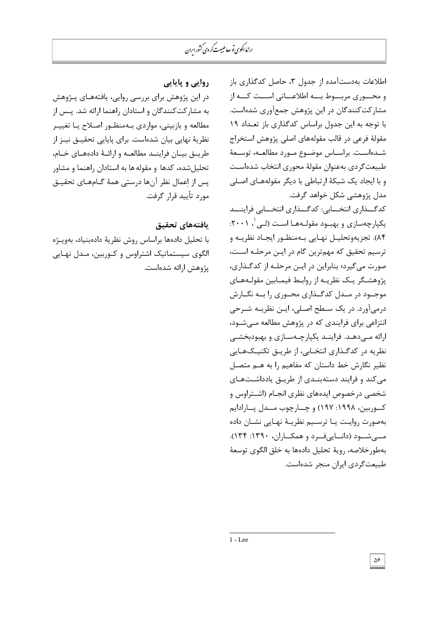## روايي و پايايي

در این پژوهش برای بررسی روایی، یافتههـای پـژوهش بِه مشارکتکنندگان و استادان راهنما ارائه شد. یـس از مطالعه و بازبینی، مواردی بـهمنظـور اصـلاح یـا تغییـر نظریهٔ نهایی بیان شدهاست. برای پایایی تحقیــق نیــز از طریــق بیــان فراینــد مطالعــه و ارائــهٔ دادههــای خــام، تحلیلشده، کدها و مقوله ها به استادان راهنما و مشاور یس از اعمال نظر آنها درستی همهٔ گـامهـای تحقیـق مورد تأييد قرار گرفت.

## **ٔافتٍَاْ تحقٕ**

با تحلیل دادهها براساس روش نظریهٔ دادهبنیاد، بهویـژه الگوی سیستماتیک اشتراوس و کـوربین، مـدل نهـایی یژوهش ارائه شدهاست.

اطلاعات بهدستآمده از جدول ۳، حاصل کدگذاری باز و محسوری مربسوط بسه اطلاعساتی اسست کسه از مشاركت كنندگان در اين پژوهش جمعآوري شدهاست. با توجه به اين جدول براساس كدگذاري باز تعـداد ١٩ مقولهٔ فرعی در قالب مقولههای اصلی پژوهش استخراج شـدهاسـت. براسـاس موضـوع مـورد مطالعـه، توسـعهٔ طبیعت گردی بهعنوان مقولهٔ محوری انتخاب شدهاست و با ایجاد یک شبکهٔ ارتباطی با دیگر مقولههـای اصـلی مدل یژوهشی شکل خواهد گرفت.

کدگــذاری انتخـــابی: کدگـــذاری انتخـــابی فراینـــد بکپارچهسازی و بهبـود مقولـههـا اسـت (لـی'، ۲۰۰۱: ۸۴). تجزیهوتحلیـل نهـایی بـهمنظـور ایجـاد نظریـه و ترسيم تحقيق كه مهم ترين گام در ايـن مرحلـه اسـت، صورت میگیرد؛ بنابراین در ایـن مرحلـه از کدگـذاری، یژوهشـگر یـک نظریـه از روابـط فیمـابین مقولـههـای موجـود در مـدل کدگـذاری محـوری را بـه نگـارش درمیآورد. در یک سطح اصلی، ایـن نظریـه شـرحی انتزاعی برای فرایندی که در پژوهش مطالعه مـیشـود، ارائه مـیٖدهـد. فراینـد یکپارچـهسـازی و بهبودبخشـی نظریه در کدگذاری انتخـابی، از طریــق تکنیــکـهـایی نظیر نگارش خط داستان که مفاهیم را به هـم متصـل می کند و فرایند دستهبنـدی از طریـق یادداشـتهـای شخصی درخصوص ایدههای نظری انجـام (اشـتراوس و کـوربین، ۱۹۹۸: ۱۹۷) و چــارچوب مــدل پــارادايم بِهصورت روایت یبا ترسییم نظریبهٔ نهبایی نشبان داده مسیشیود (دانساییفیرد و همکساران، ۱۳۹۰: ۱۳۴). بِهطورِ خلاصه، رويهٔ تحليل دادهها بِه خلق الگوی توسعهٔ طبیعتگردى ايران منجر شدهاست.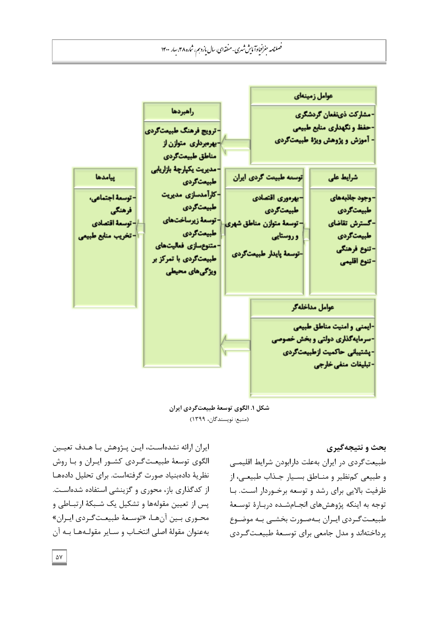

شكل **۱. الگوی توسعهٔ طبیعت**گردی ایران (منبع: نويسندگان، ۱۳۹۹)

**بحث و نتيجه گيري** 

طبیعت گردی در ایران بهعلت دارابودن شرایط اقلیمے و طبیعی کم نظیر و منـاطق بسـیار جـذاب طبیعـی، از ظرفیت بالایی برای رشد و توسعه برخوردار است. بـا توجه به اینکه پژوهشهای انجـامشـده دربـارهٔ توسـعهٔ طبیعتگردی ایـران بـهصـورت بخشـی بـه موضـوع یرداختهاند و مدل جامعی برای توسـعهٔ طبیعـتگـردی

ایران ارائه نشدهاست، ایـن یـژوهش بـا هـدف تعیـین الگوی توسعهٔ طبیعت گـردی کشـور ایـران و بـا روش نظریهٔ دادهبنیاد صورت گرفتهاست. برای تحلیل دادهها از کدگذاری باز، محوری و گزینشی استفاده شدهاست. پس از تعيين مقولهها و تشكيل يک شـبكهٔ ارتبـاطي و محـوری بـین آنهـا، «توسـعهٔ طبیعـتگـردی ایـران» بِهعنوانِ مقولهٔ اصلی انتخـاب و سـایر مقولـههـا بـه آن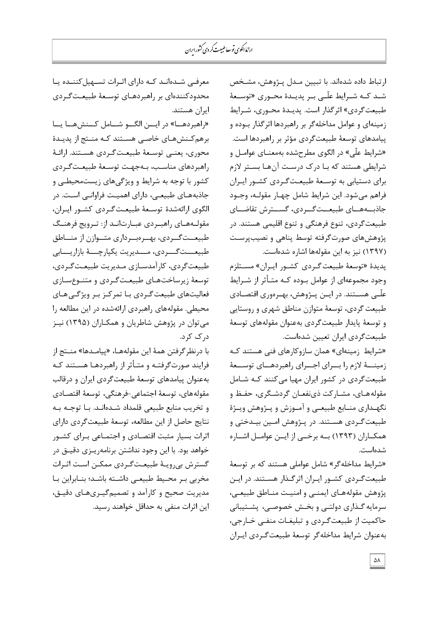> ارتباط داده شدهاند. با تبيين مـدل پـژوهش، مشـخص شـد کـه شـرایط علّـی بـر پدیـدهٔ محـوری «توسـعهٔ طبیعت گردی» اثرگذار است. پدیـدهٔ محـوری، شـرایط زمینهای و عوامل مداخلهگر بر راهبردها اثرگذار بـوده و پیامدهای توسعهٔ طبیعتگردی مؤثر بر راهبردها است. «شرایط علّی» در الگوی مطرحشده بهمعنــای عوامــل و شرایطی هستند که بـا درک درسـت آنهـا بسـتر لازم برای دستیابی به توسعهٔ طبیعتگردی کشور ایـران فراهم می شود. این شرایط شامل چهـار مقولـه، وجـود جاذبههسای طبیعستگردی، گسسترش تقاضــای طبیعت گردی، تنوع فرهنگی و تنوع اقلیمی هستند. در یژوهشِ های صورتگرفته توسط پناهی و نصیبپرست (١٣٩٧) نيز به اين مقولهها اشاره شدهاست.

پدیدهٔ «توسعهٔ طبیعت گـردی كشـور ایـران» مسـتلزم وجود مجموعهای از عوامل بـوده کـه متـأثر از شـرایط علّی هســتند. در ایــن پــژوهش، بهــرەوری اقتصــادی طبیعت گردي، توسعهٔ متوازن مناطق شهري و روستايي و توسعهٔ پایدار طبیعتگردی بهعنوان مقولههای توسعهٔ طبيعت گردي ايران تعيين شدهاست.

«شرایط زمینهای» همان سازوکارهای فنی هستند کـه زمینـــهٔ لازم را بـــرای اجـــرای راهبردهـــای توســـعهٔ طبیعت گردی در كشور ایران مهیا میكنند كـه شـامل مقولههـای، مشـارکت ذینفعـان گردشـگری، حفـظ و نگهـداری منــابع طبیعــی و آمــوزش و پــژوهش ویــژهٔ طبیعت گـردی هسـتند. در پـژوهش امـین بیـدختی و همکــاران (۱۳۹۳) بــه برخــی از ایــن عوامــل اشــاره شدهاست.

«شرایط مداخله گر» شامل عواملی هستند که بر توسعهٔ طبیعت گردی کشور ایـران اثرگـذار هسـتند. در ایـن پژوهش مقولههـای ایمنـی و امنیـت منـاطق طبیعـی، سرمایه گـذاری دولتـی و بخـش خصوصـی، پشـتیبانی حاکمیت از طبیعت گردی و تبلیغـات منفـی خـارجی، بِهعنوان شرایط مداخلهگر توسعهٔ طبیعتگردی ایران

معرفی شـدهانـد کـه دارای اثـرات تسـهیلکننـده یـا محدودکنندهای بر راهبردهـای توسـعهٔ طبیعـتگـردی ايران هستند.

«راهبردهـــا» در ایـــن الگـــو شـــامل کـــنش هـــا یـــا برهم کـنشهـای خاصـی هسـتند کـه منـتج از پدیـدهٔ محوری، یعنـی توسـعهٔ طبیعـتگـردی هسـتند. ارائـهٔ راهبردهای مناسب، بـهجهت توسـعهٔ طبیعـتگـردی کشور با توجه به شرایط و ویژگیهای زیستمحیطی و جاذبههـای طبیعـی، دارای اهمیـت فراوانـی اسـت. در الگوى ارائهشدهٔ توسـعهٔ طبیعـتگردى كشـور ايـران، مقولـههـای راهبـردی عبـارتانـد از: تـرویج فرهنـگ طبیعــت گــردی، بهــرەبــرداری متــوازن از منـــاطق طبیعـــتگـــردی، مـــدیریت یکپارچـــهٔ بازاریــــابی طبیعت گردی، کارآمدسـازی مـدیریت طبیعـتگـردی، توسعهٔ زیرساختهای طبیعت *گ*ردی و متنوع سازی فعالیتھای طبیعت *گ*ردی بـا تمرکـز بـر ویژگـی هـای محيطي. مقولههاي راهبردي ارائهشده در اين مطالعه را می توان در پژوهش شاطریان و همکـاران (۱۳۹۵) نیـز د, ک کرد.

با درنظر گرفتن همهٔ این مقولههـا، «پیامـدها» منــتج از فرایند صورتگرفتـه و متـأثر از راهبردهـا هسـتند کـه بهعنوان پیامدهاى توسعهٔ طبیعتگردى ایران و درقالب مقولههای، توسعهٔ اجتماعی-فرهنگی، توسعهٔ اقتصـادی و تخریب منابع طبیعی قلمداد شـدهانـد. بـا توجـه بـه نتايج حاصل از اين مطالعه، توسعهٔ طبيعت گردي داراي اثرات بسیار مثبت اقتصـادی و اجتمـاعی بـرای کشـور خواهد بود. با اين وجود نداشتن برنامهريـزى دقيـق در گسترش بیرویـهٔ طبیعـتگـردی ممکـن اسـت اثـرات مخربی بـر محـيط طبيعـي داشــته باشـد؛ بنــابراين بـا مدیریت صحیح و کارآمد و تصمیم گیـریهـای دقیـق، اين اثرات منفي به حداقل خواهند رسيد.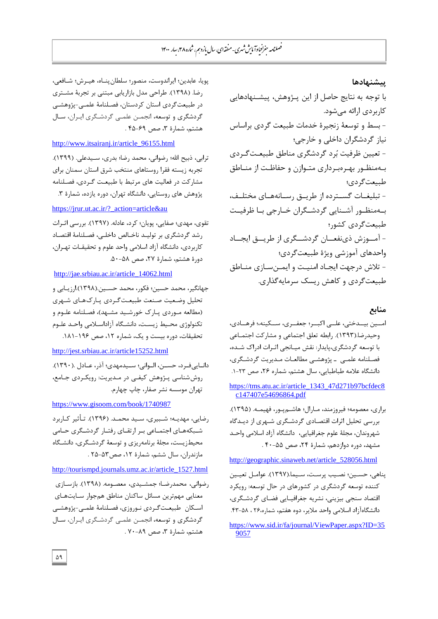**پیشنهادها** 

با توجه به نتايج حاصل از اين پــژوهش، پيشــنهادهايي کاربردی ارائه میشود. - بسط و توسعهٔ زنجیرهٔ خدمات طبیعت گردی براساس نياز گردشگران داخلي و خارجي؛ - تعيين ظرفيت بُرد گردشگري مناطق طبيعتگردي بهمنظور بهرهبرداری متوازن و حفاظت از منـاطق طبيعت گردي؛ - تبلیغـات گسـترده از طریـق رسـانههـای مختلـف، بهمنظـور آشـنایی گردشـگران خـارجی بـا ظرفیـت طبیعت گردی کشور؛ - آمـوزش ذینفعــان گردشــگری از طریــق ایجــاد واحدهای آموزشی ویژهٔ طبیعتگردی؛ - تلاش درجهت ایجـاد امنیـت و ایمـنسـازی منـاطق طبیعت گردی و کاهش ریسک سرمایه گذاری.

## **مىاتغ**

- امسین بیسدختی، علسی اکبسر؛ جعفسری، سسکینه،؛ فرهسادی، وحیدرِضا.(١٣٩٣). رابطه تعلق اجتماعی و مشارکت اجتمـاعی با توسعه گردشگری،پایدار: نقش میـانجی اثـرات ادراک شـده، فصلنامه علمی \_ پژوهشی مطالعـات مـدیریت گردشـگری، دانشگاه علامه طباطبایی، سال هشتم، شماره ۲۶، صص ۲۳-۱.
- [https://tms.atu.ac.ir/article\\_1343\\_47d271b97bcfdec8](https://tms.atu.ac.ir/article_1343_47d271b97bcfdec8c147407e54696864.pdf) [c147407e54696864.pdf](https://tms.atu.ac.ir/article_1343_47d271b97bcfdec8c147407e54696864.pdf)
- براری، معصومه؛ فیروزمند، مـارال؛ هاشـم پـور، فهیمـه. (١٣٩۵). بررسی تحلیل اثرات اقتصادی گردشگری شهری از دیدگاه شهروندان[،](http://mshdiau.ac.ir/) مجلهٔ علوم جغرافیایی، دانشگاه آزاد اسلامی واحد مشهد، دوره دوازدهم، شمارهٔ ۲۴، صص ۵۵-۴۰ .

[http://geographic.sinaweb.net/article\\_528056.html](http://geographic.sinaweb.net/article_528056.html)

- یناهی، حسـین؛ نصـیب پرسـت، سـیما.(۱۳۹۷). عوامـل تعیـین كننده توسعه گردشگرى در كشورهاى در حال توسعه: رويكرد اقتصاد سنجی بیزینی، نشریه جغرافیایی فضای گردشگری، دانشگاهآزاد اسلامی واحد ملایر، دوه هفتم، شماره،۲۶ ، ۵۸-۴۳.
- [https://www.sid.ir/fa/journal/ViewPaper.aspx?ID=35](https://www.sid.ir/fa/journal/ViewPaper.aspx?ID=359057) [9057](https://www.sid.ir/fa/journal/ViewPaper.aspx?ID=359057)

یویا، عابدین؛ ایراندوست، منصور؛ سلطان پنـاه، هیـرش؛ شـافعی، رضا. (۱۳۹۸). طراحی مدل بازاریابی مبتنی بر تجربهٔ مشتری در طبیعت گردی استان کردستان، فصلنامهٔ علمـی-پژوهشـی گردشگری و توسعه، انجمـن علمـی گردشـگری ایـران، سـال هشتم، شمارة ٣، صص ۶۹-۴۵.

## [http://www.itsairanj.ir/article\\_96155.html](http://www.itsairanj.ir/article_96155.html)

ترابی، ذبیح الله؛ رضوانی، محمد رضا؛ بدری، سـیدعلی. (۱۳۹۹). تجربه زيسته فقرا روستاهاى منتخب شرق استان سمنان براى مشارکت در فعالیت های مرتبط با طبیعت گردی، فصلنامه پژوهش هاى روستايى، دانشگاه تهران، دوره يازده، شمارهٔ ۳.

## https://jrur.ut.ac.ir/?\_action=article&au

تقوی، مهدی؛ صفایی، پویان؛ کرد، عادله. (۱۳۹۷). بررسی اثـرات رشد گردشگری بر تولیـد ناخـالص داخلـی، فصـلنامهٔ اقتصـاد كاربردى، دانشگاه آزاد اسلامى واحد علوم و تحقیقـات تهـران، دورة هشتم، شمارة ٢٧، صص ۵٨-۵۰.

## [http://jae.srbiau.ac.ir/article\\_14062.html](http://jae.srbiau.ac.ir/article_14062.html)

جهانگیر، محمد حسین؛ فکور، محمد حسـین.(۱۳۹۸).ارزیـابی و تحلیل وضعیت صنعت طبیعت گـردی پـارکھـای شـهری (مطالعه موردی یارک خورشید مشـهد)، فصـلنامه علـوم و تکنولوژی محیط زیست، دانشگاه آزاداسـلامی واحـد علـوم تحقیقات، دوره بیست و یک، شماره ۱۲، صص ۱۹۶-۱۸۱.

## http://jest.srbiau.ac.ir/article15252.html

دانـاییفـرد، حســن، الــوانی؛ ســیدمهدی؛ آذر، عــادل .(١٣٩٠). روششناسی پـژوهش کیفـی در مـدیریت: رویکـردی جـامع، تهران موسسه نشر صفار، چاپ چهارم.

## https://www.gisoom.com/book/1740987

رضایی، مهدیـه؛ شـبیری، سـید محمـد. (۱۳۹۶). تـأثیر کـاربرد شـبکههـای اجتمـاعی بـر ارتقـای رفتـار گردشـگری حـامی محیطزیست، مجلهٔ برنامهریزی و توسعهٔ گردشگری، دانشگاه مازندران، سال ششم، شمارهٔ ۱۲، صص۵۳-۲۵ .

## [http://tourismpd.journals.umz.ac.ir/article\\_1527.html](http://tourismpd.journals.umz.ac.ir/article_1527.html)

رضوانی، محمدرضـا؛ جمشـیدی، معصـومه. (۱۳۹۸). بازسـازی معنايي مهمترين مسائل ساكنان مناطق همجوار سـايتهـاي اسکان طبیعتگردی نـوروزی، فصـلنامهٔ علمـی-پژوهشـی گردشگری و توسعه، انجمـن علمـی گردشـگری ایـران، سـال هشتم، شمارهٔ ۳، صص ۸۹-۷۰ .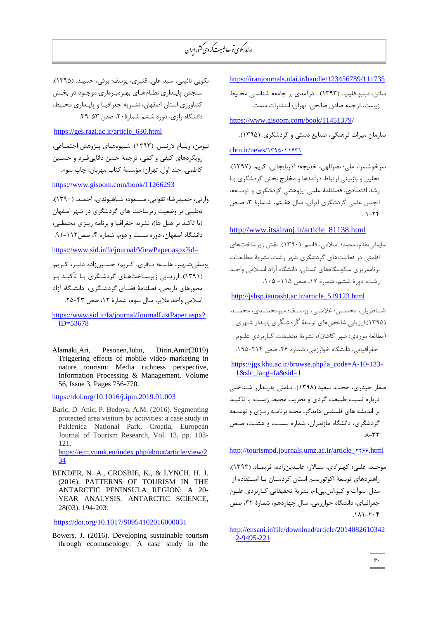<https://iranjournals.nlai.ir/handle/123456789/111735> ساتن، دبليو فليپ. (١٣٩٣). درآمدي بر جامعه شناســي محـيط زيست، ترجمه صادق صالحي. تهران: انتشارات سمت.

https://www.gisoom.com/book/11451379/

سازمان میراث فرهنگی، صنایع دستی و گردشگری. (۱۳۹۵).

 $chtn.ir/news/1790.71571$ 

سرخوشسرا، علي؛ نصرالهي، خديجه؛ آذربايجاني، کريم. (١٣٩٧). تحلیل و بازبینی ارتباط درآمدها و مخارج بخش گردشگری بـا رشد اقتصادی، فصلنامهٔ علمی-پژوهشی گردشگری و توسـعه، انجمن علمي گردشگري ايران، سال هفتم، شـمارهٔ ۳، صـص  $.1 - Yf$ 

[http://www.itsairanj.ir/article\\_81138.html](http://www.itsairanj.ir/article_81138.html)

سليماني،مقدّم، محمد؛ اسلامي، قاسم. (١٣٩٠). نقش زيرساختهاي اقامتی در فعالیتهای گردشگری شهر رشت، نشریهٔ مطالعـات برنامهِریزی سکونتگاههای انسانی، دانشگاه آزاد اسـلامی واحـد رشت، دورهٔ ششم، شمارهٔ ۱۷، صص ۱۱۵- ۰۱۰۵.

[http://jshsp.iaurasht.ac.ir/article\\_519123.html](http://jshsp.iaurasht.ac.ir/article_519123.html)

شــاطریان، محســـن؛ غلامـــی، پوســف؛ میرمحمــدی، محمــد. (۱۳۹۵).ارزیابی شاخص های توسعۀ گردشگری پایـدار شـهری (مطالعۀ موردي: شهر کاشان)، نشريۀ تحقيقات ک]ربردي علـوم جغرافیایی، دانشگاه خوارزمی، شمارهٔ ۴۶، صص ۲۱۴-۱۹۵.

[https://jgs.khu.ac.ir/browse.php?a\\_code=A-10-133-](https://jgs.khu.ac.ir/browse.php?a_code=A-10-133-1&slc_lang=fa&sid=1) [1&slc\\_lang=fa&sid=1](https://jgs.khu.ac.ir/browse.php?a_code=A-10-133-1&slc_lang=fa&sid=1)

صفار حیدری، حجت، سعید.(۱۳۹۸). تـاملی پدیـدارر شـناختی درباره نسبت طبیعت گردی و تخریب محیط زیست: با تاکیـد بِرِ اندیشه های فلسفس هایدگر، مجله برنامـه ریـزی و توسـعه گردشگری، دانشگاه مازندران، شماره پیست و هشت، صص  $A - TY$ 

http://tourismpd.journals.umz.ac.ir/article\_2266.html

موحـد، علـی؛ کهـزادی، سـالار؛ عابـدینزاده، فریمـاه. (۱۳۹۳). ِ، اهْبِ دهاى توسعهٔ اكوتوريسم استان كردستان بـا اسـتفاده از مدل سوآت و کیو.اس.پی.ام، نشریهٔ تحقیقاتی کـاربردی علـوم جغرافیای، دانشگاه خوارزمے، سال چهاردهم، شمارۂ ۳۲، صص  $7.7-7.1$ 

[http://ensani.ir/file/download/article/2014082610342](http://ensani.ir/file/download/article/20140826103422-9495-221) [2-9495-221](http://ensani.ir/file/download/article/20140826103422-9495-221)

نكويي نائيني، سيد علي، قنبري، يوسف؛ برقي، حميـد. (١٣٩۵). سنجش پایـداری نظـامهـای بهـرهبـرداری موجـود در بخـش كشاورزي استان اصفهان، نشـریه جغرافیـا و پایـداری محـیط، دانشگاه رازی، دوره ششم شمارهٔ ۲۰، صص ۵۳-۳۹.

[https://ges.razi.ac.ir/article\\_630.](https://ges.razi.ac.ir/article_630)html

نيومن، ويليام لارنـس. (١٣٩٣). شـيوەهـاي پـژوهش اجتمـاعي، رویکردهای کیفی و کمّی، ترجمهٔ حسن دانایی فـرد و حسـین كاظمى، جلد اول. تهران: مؤسسهٔ كتاب مهربان، چاپ سوم.

<https://www.gisoom.com/book/11266293>

وارثی، حمیدرضا؛ تقوایی، مسـعود؛ شـاهیوندی، احمـد. (١٣٩٠). تحلیلی بر وضعیت زیرساخت های گردشگری در شهر اصفهان (با تاکید بر هتل ها)، نشریه جغرافیا و برنامه ریـزی محیطـی، دانشگاه اصفهان، دوره بیست و دوم، شماره ۴، صص۱۱۲-۹۱.

<https://www.sid.ir/fa/journal/ViewPaper.aspx?id=>

یوسفی شـهیر، هانیـه؛ بـاقری، کـریم؛ حسـین;اده دلیـر، کـریم. (۱۳۹۱). ارزیـابی زیرسـاختهـای گردشـگری بـا تأکیـد بـر محورهای تاریخی، فصلنامهٔ فضـای گردشـگری، دانشـگاه آزاد اسلامی واحد ملایر، سال سوم، شمارهٔ ۱۲، صص ۴۳-۲۵.

[https://www.sid.ir/fa/journal/JournalListPaper.aspx?](https://www.sid.ir/fa/journal/JournalListPaper.aspx?ID=53678) [ID=53678](https://www.sid.ir/fa/journal/JournalListPaper.aspx?ID=53678) 

Alamäki,Ari, Pesonen,Juho, Dirin,Amir(2019) Triggering effects of mobile video marketing in nature tourism: Media richness perspective, Information Processing & Management, Volume 56, Issue 3, Pages 756-770.

https://doi.org/10.1016/j.ipm.2019.01.003

Baric, D. Anic, P. Bedoya, A.M. (2016). Segmenting protected area visitors by activities: a case study in Paklenica National Park, Croatia, European Journal of Tourism Research, Vol. 13, pp. 103- 121. https://ejtr.vumk.eu/index.php/about/article/view/2 34

BENDER, N. A., CROSBIE, K., & LYNCH, H. J. (2016). PATTERNS OF TOURISM IN THE ANTARCTIC PENINSULA REGION: A 20- YEAR ANALYSIS. ANTARCTIC SCIENCE, 28(03), 194-203.

<https://doi.org/10.1017/S0954102016000031>

Bowers, J. (2016). Developing sustainable tourism through ecomuseology: A case study in the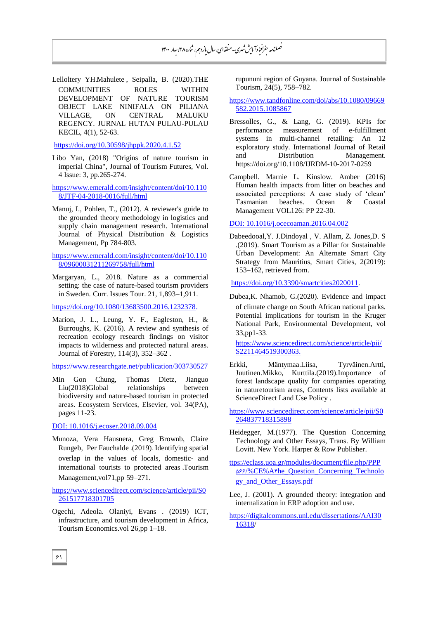Lelloltery YH.Mahulete , Seipalla, B. (2020).THE COMMUNITIES ROLES WITHIN DEVELOPMENT OF NATURE TOURISM OBJECT LAKE NINIFALA ON PILIANA VILLAGE, ON CENTRAL MALUKU REGENCY. JURNAL HUTAN PULAU-PULAU KECIL, 4(1), 52-63.

<https://doi.org/10.30598/jhppk.2020.4.1.52>

Libo Yan, (2018) "Origins of nature tourism in imperial China", Journal of Tourism Futures, Vol. 4 Issue: 3, pp.265-274.

https://www.emerald.com/insight/content/doi/10.110 8/JTF-04-2018-0016/full/html

Manuj, I., Pohlen, T., (2012). A reviewer's guide to the grounded theory methodology in logistics and supply chain management research. International Journal of Physical Distribution & Logistics Management, Pp 784-803.

[https://www.emerald.com/insight/content/doi/10.110](https://www.emerald.com/insight/content/doi/10.1108/09600031211269758/full/html) [8/09600031211269758/full/html](https://www.emerald.com/insight/content/doi/10.1108/09600031211269758/full/html)

Margaryan, L., 2018. Nature as a commercial setting: the case of nature-based tourism providers in Sweden. Curr. Issues Tour. 21, 1,893–1,911.

[https://doi.org/10.1080/13683500.2016.1232378.](https://doi.org/10.1080/13683500.2016.1232378)

Marion, J. L., Leung, Y. F., Eagleston, H., & Burroughs, K. (2016). A review and synthesis of recreation ecology research findings on visitor impacts to wilderness and protected natural areas. Journal of Forestry, 114(3), 352–362 .

<https://www.researchgate.net/publication/303730527>

Min Gon Chung, Thomas Dietz, Jianguo Liu(2018)Global relationships between biodiversity and nature-based tourism in protected areas. Ecosystem Services, Elsevier, vol. 34(PA), pages 11-23.

DOI: 10.1016/j.ecoser.2018.09.004

Munoza, Vera Hausnera, Greg Brownb, Claire Rungeb, Per Fauchalde .(2019). Identifying spatial overlap in the values of locals, domestic- and international tourists to protected areas ،Tourism Management,vol71,pp 59–271.

[https://www.sciencedirect.com/science/article/pii/S0](https://www.sciencedirect.com/science/article/pii/S0261517718301705) [261517718301705](https://www.sciencedirect.com/science/article/pii/S0261517718301705)

Ogechi, Adeola. Olaniyi, Evans . (2019) ICT, infrastructure, and tourism development in Africa, Tourism Economics.vol 26,pp 1–18.

rupununi region of Guyana. Journal of Sustainable Tourism, 24(5), 758–782.

- https://www.tandfonline.com/doi/abs/10.1080/09669 582.2015.1085867
- Bressolles, G., & Lang, G. (2019). KPIs for performance measurement of e-fulfillment systems in multi-channel retailing: An 12 exploratory study. International Journal of Retail and Distribution Management. <https://doi.org/10.1108/IJRDM-10-2017-0259>
- Campbell. Marnie L. Kinslow. Amber (2016) Human health impacts from litter on beaches and associated perceptions: A case study of 'clean' Tasmanian beaches. Ocean & Coastal Management VOL126: PP 22-30.

DOI: 10.1016/j.ocecoaman.2016.04.002

Dabeedooal,Y. J.Dindoyal , V. Allam, Z. Jones,D. S .(2019). Smart Tourism as a Pillar for Sustainable Urban Development: An Alternate Smart City Strategy from Mauritius, Smart Cities, 2(2019): 153–162, retrieved from.

[https://doi.org/10.3390/smartcities2020011.](https://doi.org/10.3390/smartcities2020011)

Dubea,K. Nhamob, G.(2020). Evidence and impact of climate change on South African national parks. Potential implications for tourism in the Kruger National Park, Environmental Development, vol 33,pp1-33.

[https://www.sciencedirect.com/science/article/pii/](https://www.sciencedirect.com/science/article/pii/S2211464519300363.%202211464519300363) S2211464519300363.

Erkki, Mäntymaa.Liisa, Tyrväinen.Artti, Juutinen.Mikko, Kurttila.(2019).Importance of forest landscape quality for companies operating in naturetourism areas, Contents lists available at ScienceDirect Land Use Policy .

https://www.sciencedirect.com/science/article/pii/S0 264837718315898

- Heidegger, M.(1977). The Question Concerning Technology and Other Essays, Trans. By William Lovitt. New York. Harper & Row Publisher.
- ttps://eclass.uoa.gr/modules/document/file.php/PPP 566/%CE%A4he\_Question\_Concerning\_Technolo gy\_and\_Other\_Essays.pdf
- Lee, J. (2001). A grounded theory: integration and internalization in ERP adoption and use.
- https://digitalcommons.unl.edu/dissertations/AAI30 16318/